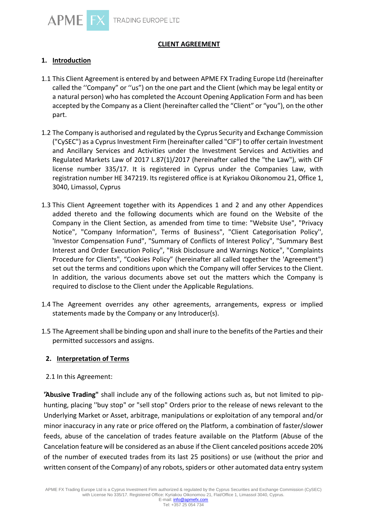

# **CLIENT AGREEMENT**

# **1. Introduction**

- 1.1 This Client Agreement is entered by and between APME FX Trading Europe Ltd (hereinafter called the ''Company" or ''us") on the one part and the Client (which may be legal entity or a natural person) who has completed the Account Opening Application Form and has been accepted by the Company as a Client (hereinafter called the "Client" or "you"), on the other part.
- 1.2 The Company is authorised and regulated by the Cyprus Security and Exchange Commission ("CySEC") as a Cyprus Investment Firm (hereinafter called "CIF") to offer certain Investment and Ancillary Services and Activities under the Investment Services and Activities and Regulated Markets Law of 2017 L.87(1)/2017 (hereinafter called the "the Law"), with CIF license number 335/17. It is registered in Cyprus under the Companies Law, with registration number ΗΕ 347219. Its registered office is at Kyriakou Oikonomou 21, Office 1, 3040, Limassol, Cyprus
- 1.3 This Client Agreement together with its Appendices 1 and 2 and any other Appendices added thereto and the following documents which are found on the Website of the Company in the Client Section, as amended from time to time: "Website Use", "Privacy Notice", "Company Information", Terms of Business", "Client Categorisation Policy'', 'Investor Compensation Fund", "Summary of Conflicts of Interest Policy", "Summary Best Interest and Order Execution Policy", "Risk Disclosure and Warnings Notice", "Complaints Procedure for Clients", "Cookies Policy" (hereinafter all called together the 'Agreement") set out the terms and conditions upon which the Company will offer Services to the Client. In addition, the various documents above set out the matters which the Company is required to disclose to the Client under the Applicable Regulations.
- 1.4 The Agreement overrides any other agreements, arrangements, express or implied statements made by the Company or any Introducer(s).
- 1.5 The Agreement shall be binding upon and shall inure to the benefits of the Parties and their permitted successors and assigns.

## **2. Interpretation of Terms**

2.1 In this Agreement:

**'Άbιιsive Trading"** shall include any of the following actions such as, but not limited to piphunting, placing ''buy stop" or "sell stop" Orders prior to the release of news relevant to the Underlying Market or Asset, arbitrage, manipulations οr exploitation of any temporal and/or minor inaccuracy in any rate or price offered οη the Platform, a combination of faster/slower feeds, abuse of the cancelation of trades feature available οn the Platform (Abuse of the Cancelation feature will be considered as an abuse if the Client canceled positions accede 20% of the number of executed trades from its last 25 positions) or use (without the prior and written consent of the Company) of any robots, spiders or other automated data entry system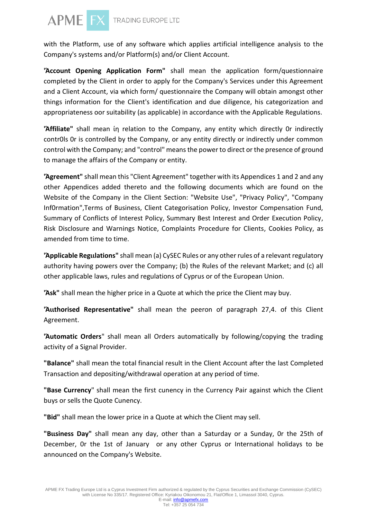

with the Platform, use of any software which applies artificial intelligence analysis to the Company's systems and/or Platform(s) and/or Client Account.

**'Άccοunt Opening Application Fοrm"** shall mean the application form/questionnaire completed by the Client in order to apply for the Company's Services under this Agreement and a Client Account, via which form/ questionnaire the Company will obtain amongst other things information fοr the Client's identification and due diligence, his categorization and appropriateness οor suitability (as applicable) in accordance with the Applicable Regulations.

**'Άffiliate"** shall mean ίη relation to the Company, any entity which directly 0r indirectly contr0ls 0r is controlled by the Company, or any entity directly or indirectly under common control with the Company; and "control" means the power to direct or the presence of ground to manage the affairs of the Company or entity.

**'Άgreement"** shall mean this "Client Agreement" together with its Appendices 1 and 2 and any other Appendices added thereto and the following documents which are found οn the Website of the Company in the Client Section: "Website Use", "Privacy Policy", "Company Inf0rmation",Terms of Business, Client Categorisation Policy, Investor Compensation Fund, Summary of Conflicts of Interest Policy, Summary Best Interest and Order Execution Policy, Risk Disclosure and Warnings Notice, Complaints Procedure for Clients, Cookies Policy, as amended from time to time.

**'Άpplicable Regιιlations"** shall mean (a) CySEC Rules or any other rules of a relevant regulatory authority having powers ονer the Company; (b) the Rules of the relevant Market; and (c) all other applicable laws, rules and regulations of Cyprus or of the European Union.

**'Άsk"** shall mean the higher price in a Quote at which the price the Client may buy.

**'Άιιthorised Representative"** shall mean the peeron of paragraph 27,4. of this Client Agreement.

**'Άutomatic Orders**" shall mean all Orders automatically by following/copying the trading activity of a Signal Provider.

**"Balance"** shall mean the total financial result in the Client Account after the last Completed Transaction and depositing/withdrawal operation at any period of time.

**"Base Currency**" shall mean the first cunency in the Currency Pair against which the Client buys or sells the Quote Cunency.

**"Bid"** shall mean the lower price in a Quote at which the Client may sell.

**"Bιιsiness Day"** shall mean any day, other than a Saturday or a Sunday, 0r the 25th of December, 0r the 1st of January or any other Cyprus or International holidays to be announced on the Company's Website.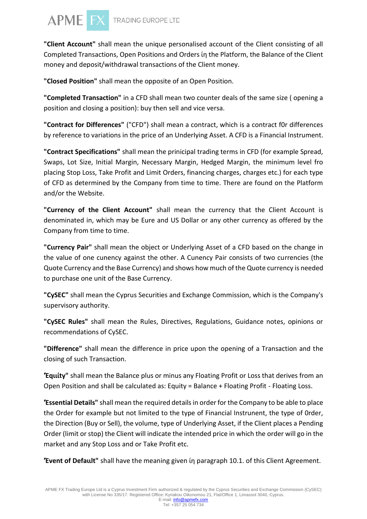

**"Client Accoιιnt"** shall mean the unique personalised account of the Client consisting of all Completed Transactions, Open Positions and Orders ίη the Platform, the Balance of the Client money and deposit/withdrawal transactions of the Client money.

**"Closed Position"** shall mean the opposite of an Open Position.

**"Completed Transaction"** in a CFD shall mean two counter deals of the same size ( opening a position and closing a position): buy then sell and vice versa.

**"Contract for Differences"** ("CFD") shall mean a contract, which is a contract f0r differences by reference to variations in the price of an UnderIying Asset. Α CFD is a Financial Instrument.

**"Contract Specifications"** shall mean the prinicipal trading terms in CFD (for example Spread, Swaps, Lot Size, Initial Margin, Necessary Margin, Hedged Margin, the minimum level fro placing Stop Loss, Take Profit and Limit Orders, financing charges, charges etc.) for each type of CFD as determined by the Company from time to time. There are found on the Platform and/or the Website.

**"Currency of the Client Account"** shall mean the currency that the Client Account is denominated in, which may be Eure and US Dollar or any other currency as offered by the Company from time to time.

**"Cιιrrency Ρair"** shall mean the object or Underlying Asset of a CFD based οn the change in the value of one cunency against the other. Α Cunency Pair consists of two currencies (the Quote Currency and the Base Currency) and shows how much of the Quote currency is needed to purchase one unit of the Base Currency.

**"CySEC"** shall mean the Cyprus Securities and Exchange Commission, which is the Company's supervisory authority.

**"CySEC Rules"** shall mean the Rules, Directives, Regulations, Guidance notes, opinions or recommendations of CySEC.

**"Difference"** shall mean the difference in price upon the opening of a Transaction and the closing of such Transaction.

**'Έqιιίty"** shall mean the Balance plus or minus any Floating Profit or Loss that derives from an Open Position and shall be calculated as: Equity = Balance + Floating Profit - Floating Loss.

**'Έssential Details"** shall mean the required details in order for the Company to be able to place the Order for example but not limited to the type of Financial Instrunent, the type of 0rder, the Direction (Buy or Sell), the volume, type of Underlying Asset, if the Client places a Pending Order (limit or stop) the Client will indicate the intended price in which the order will go in the market and any Stop Loss and or Take Profit etc.

**'Έvent of Defaιιlt"** shall have the meaning given ίη paragraph 10.1. of this Client Agreement.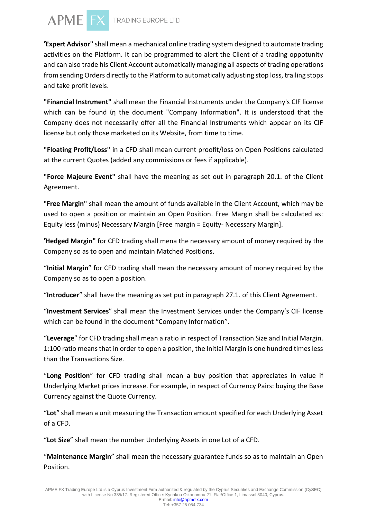

**'Έxpert Advisor"** shall mean a mechanical online trading system designed to automate trading activities οn the Platform. It can be programmed to alert the Client of a trading oppotunity and can also trade his Client Account automatically managing all aspects of trading operations from sending Orders directly to the Platform to automatically adjusting stop loss, trailing stops and take profit levels.

**"Financial Instrιment"** shall mean the Financial lnstruments under the Company's CIF license which can be found ίη the document "Company Information". It is understood that the Company does not necessarily offer all the Financial Instruments which appear on its CIF license but only those marketed on its Website, from time to time.

**"Floating Profit/Loss"** in a CFD shall mean current proofit/loss on Open Positions calculated at the current Quotes (added any commissions or fees if applicable).

**"Force Majeure Event"** shall have the meaning as set out in paragraph 20.1. of the Client Agreement.

"**Free Margin"** shall mean the amount of funds available in the Client Account, which may be used to open a position or maintain an Open Position. Free Margin shall be calculated as: Equity less (minus) Necessary Margin [Free margin = Equity- Necessary Margin].

**'Ήedged Margin"** for CFD trading shall mena the necessary amount of money required by the Company so as to open and maintain Matched Positions.

"**Initial Margin**" for CFD trading shall mean the necessary amount of money required by the Company so as to open a position.

"**Introducer**" shall have the meaning as set put in paragraph 27.1. of this Client Agreement.

"**Investment Services**" shall mean the Investment Services under the Company's CIF license which can be found in the document "Company Information".

"**Leverage**" for CFD trading shall mean a ratio in respect of Transaction Size and Initial Margin. 1:100 ratio means that in order to open a position, the Initial Margin is one hundred times less than the Transactions Size.

"**Long Position**" for CFD trading shall mean a buy position that appreciates in value if Underlying Market prices increase. For example, in respect of Currency Pairs: buying the Base Currency against the Quote Currency.

"**Lot**" shall mean a unit measuring the Transaction amount specified for each Underlying Asset of a CFD.

"**Lot Size**" shall mean the number Underlying Assets in one Lot of a CFD.

"**Maintenance Margin**" shall mean the necessary guarantee funds so as to maintain an Open Position.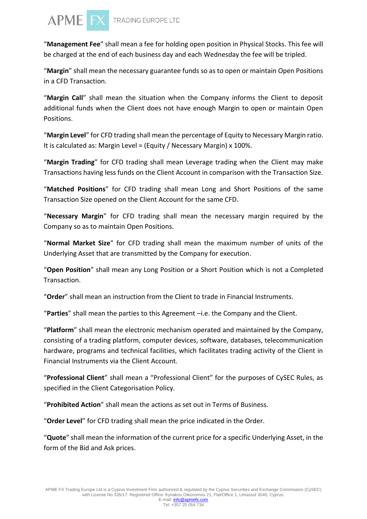

"**Management Fee**" shall mean a fee for holding open position in Physical Stocks. This fee will be charged at the end of each business day and each Wednesday the fee will be tripled.

"**Margin**" shall mean the necessary guarantee funds so as to open or maintain Open Positions in a CFD Transaction.

"**Margin Call**" shall mean the situation when the Company informs the Client to deposit additional funds when the Client does not have enough Margin to open or maintain Open Positions.

"**Маrgin Level**" for CFD trading shall mean the percentage of Equity to Necessary Margin ratio. It is calculated as: Margin Level = (Equity / Necessary Margin) x 100%.

"**Margin Trading**" for CFD trading shall mean Leverage trading when the Client may make Transactions having less funds on the Client Account in comparison with the Transaction Size.

"**Matched Positions**" for CFD trading shall mean Long and Short Positions of the same Transaction Size opened on the Client Account for the same CFD.

"**Necessary Margin**" for CFD trading shall mean the necessary margin required by the Company so as to maintain Open Positions.

"**Normal Market Size**" for CFD trading shall mean the maximum number of units of the Underlying Asset that are transmitted by the Company for execution.

"**Open Position**" shall mean any Long Position or a Short Position which is not a Completed Transaction.

"**Order**" shall mean an instruction from the Client to trade in Financial Instruments.

"**Parties**" shall mean the parties to this Agreement –i.e. the Company and the Client.

"**Platform**" shall mean the electronic mechanism operated and maintained by the Company, consisting of a trading platform, computer devices, software, databases, telecommunication hardware, programs and technical facilities, which facilitates trading activity of the Client in Financial Instruments via the Client Account.

"**Professional Client**" shall mean a "Professional Client" for the purposes of CySEC Rules, as specified in the Client Categorisation Policy.

"**Prohibited Action**" shall mean the actions as set out in Terms of Business.

"**Order Level**" for CFD trading shall mean the price indicated in the Order.

"**Quote**" shall mean the information of the current price for a specific Underlying Asset, in the form of the Bid and Ask prices.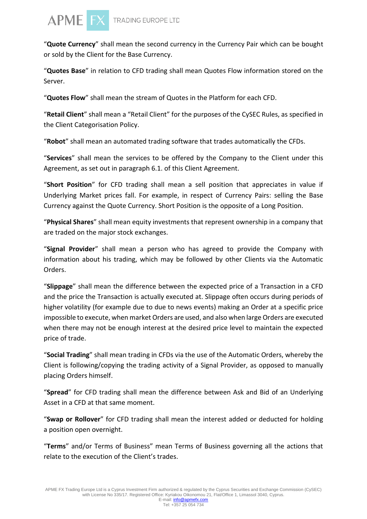

"**Quote Currency**" shall mean the second currency in the Currency Pair which can be bought or sold by the Client for the Base Currency.

"**Quotes Base**" in relation to CFD trading shall mean Quotes Flow information stored on the Server.

"**Quotes Flow**" shall mean the stream of Quotes in the Platform for each CFD.

"**Retail Client**" shall mean a "Retail Client" for the purposes of the CySEC Rules, as specified in the Client Categorisation Policy.

"**Robot**" shall mean an automated trading software that trades automatically the CFDs.

"**Services**" shall mean the services to be offered by the Company to the Client under this Agreement, as set out in paragraph 6.1. of this Client Agreement.

"**Short Position**" for CFD trading shall mean a sell position that appreciates in value if Underlying Market prices fall. For example, in respect of Currency Pairs: selling the Base Currency against the Quote Currency. Short Position is the opposite of a Long Position.

"**Physical Shares**" shall mean equity investments that represent ownership in a company that are traded on the major stock exchanges.

"**Signal Provider**" shall mean a person who has agreed to provide the Company with information about his trading, which may be followed by other Clients via the Automatic Orders.

"**Slippage**" shall mean the difference between the expected price of a Transaction in a CFD and the price the Transaction is actually executed at. Slippage often occurs during periods of higher volatility (for example due to due to news events) making an Order at a specific price impossible to execute, when market Orders are used, and also when large Orders are executed when there may not be enough interest at the desired price level to maintain the expected price of trade.

"**Social Trading**" shall mean trading in CFDs via the use of the Automatic Orders, whereby the Client is following/copying the trading activity of a Signal Provider, as opposed to manually placing Orders himself.

"**Spread**" for CFD trading shall mean the difference between Ask and Bid of an Underlying Asset in a CFD at that same moment.

"**Swap or Rollover**" for CFD trading shall mean the interest added or deducted for holding a position open overnight.

"**Terms**" and/or Terms of Business" mean Terms of Business governing all the actions that relate to the execution of the Client's trades.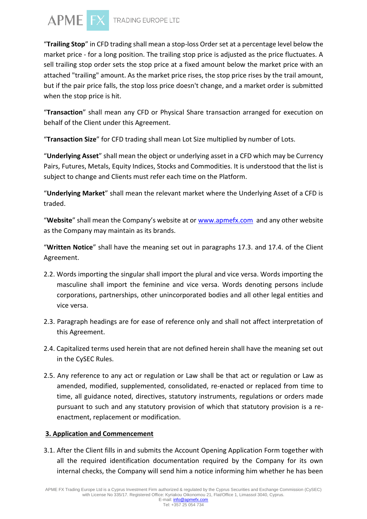

"**Trailing Stop**" in CFD trading shall mean a stop-loss Order set at a percentage level below the market price - for a long position. The trailing stop price is adjusted as the price fluctuates. A sell trailing stop order sets the stop price at a fixed amount below the market price with an attached "trailing" amount. As the market price rises, the stop price rises by the trail amount, but if the pair price falls, the stop loss price doesn't change, and a market order is submitted when the stop price is hit.

"**Transaction**" shall mean any CFD or Physical Share transaction arranged for execution on behalf of the Client under this Agreement.

"**Transaction Size**" for CFD trading shall mean Lot Size multiplied by number of Lots.

"**Underlying Asset**" shall mean the object or underlying asset in a CFD which may be Currency Pairs, Futures, Metals, Equity Indices, Stocks and Commodities. It is understood that the list is subject to change and Clients must refer each time on the Platform.

"**Underlying Market**" shall mean the relevant market where the Underlying Asset of a CFD is traded.

"**Website**" shall mean the Company's website at or [www.apmefx.com](http://www.apmefx.com/) and any other website as the Company may maintain as its brands.

"**Written Notice**" shall have the meaning set out in paragraphs 17.3. and 17.4. of the Client Agreement.

- 2.2. Words importing the singular shall import the plural and vice versa. Words importing the masculine shall import the feminine and vice versa. Words denoting persons include corporations, partnerships, other unincorporated bodies and all other legal entities and vice versa.
- 2.3. Paragraph headings are for ease of reference only and shall not affect interpretation of this Agreement.
- 2.4. Capitalized terms used herein that are not defined herein shall have the meaning set out in the CySEC Rules.
- 2.5. Any reference to any act or regulation or Law shall be that act or regulation or Law as amended, modified, supplemented, consolidated, re-enacted or replaced from time to time, all guidance noted, directives, statutory instruments, regulations or orders made pursuant to such and any statutory provision of which that statutory provision is a reenactment, replacement or modification.

# **3. Application and Commencement**

3.1. After the Client fills in and submits the Account Opening Application Form together with all the required identification documentation required by the Company for its own internal checks, the Company will send him a notice informing him whether he has been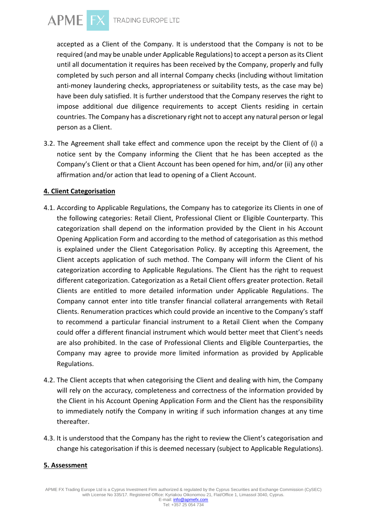

accepted as a Client of the Company. It is understood that the Company is not to be required (and may be unable under Applicable Regulations) to accept a person as its Client until all documentation it requires has been received by the Company, properly and fully completed by such person and all internal Company checks (including without limitation anti-money laundering checks, appropriateness or suitability tests, as the case may be) have been duly satisfied. It is further understood that the Company reserves the right to impose additional due diligence requirements to accept Clients residing in certain countries. The Company has a discretionary right not to accept any natural person or legal person as a Client.

3.2. The Agreement shall take effect and commence upon the receipt by the Client of (i) a notice sent by the Company informing the Client that he has been accepted as the Company's Client or that a Client Account has been opened for him, and/or (ii) any other affirmation and/or action that lead to opening of a Client Account.

#### **4. Client Categorisation**

- 4.1. According to Applicable Regulations, the Company has to categorize its Clients in one of the following categories: Retail Client, Professional Client or Eligible Counterparty. This categorization shall depend on the information provided by the Client in his Account Opening Application Form and according to the method of categorisation as this method is explained under the Client Categorisation Policy. By accepting this Agreement, the Client accepts application of such method. The Company will inform the Client of his categorization according to Applicable Regulations. The Client has the right to request different categorization. Categorization as a Retail Client offers greater protection. Retail Clients are entitled to more detailed information under Applicable Regulations. The Company cannot enter into title transfer financial collateral arrangements with Retail Clients. Renumeration practices which could provide an incentive to the Company's staff to recommend a particular financial instrument to a Retail Client when the Company could offer a different financial instrument which would better meet that Client's needs are also prohibited. In the case of Professional Clients and Eligible Counterparties, the Company may agree to provide more limited information as provided by Applicable Regulations.
- 4.2. The Client accepts that when categorising the Client and dealing with him, the Company will rely on the accuracy, completeness and correctness of the information provided by the Client in his Account Opening Application Form and the Client has the responsibility to immediately notify the Company in writing if such information changes at any time thereafter.
- 4.3. It is understood that the Company has the right to review the Client's categorisation and change his categorisation if this is deemed necessary (subject to Applicable Regulations).

## **5. Assessment**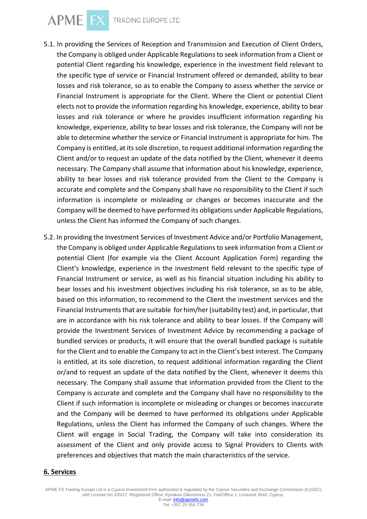APME FX TRADING EUROPE LTD

- 5.1. In providing the Services of Reception and Transmission and Execution of Client Orders, the Company is obliged under Applicable Regulations to seek information from a Client or potential Client regarding his knowledge, experience in the investment field relevant to the specific type of service or Financial Instrument offered or demanded, ability to bear losses and risk tolerance, so as to enable the Company to assess whether the service or Financial Instrument is appropriate for the Client. Where the Client or potential Client elects not to provide the information regarding his knowledge, experience, ability to bear losses and risk tolerance or where he provides insufficient information regarding his knowledge, experience, ability to bear losses and risk tolerance, the Company will not be able to determine whether the service or Financial Instrument is appropriate for him. The Company is entitled, at its sole discretion, to request additional information regarding the Client and/or to request an update of the data notified by the Client, whenever it deems necessary. The Company shall assume that information about his knowledge, experience, ability to bear losses and risk tolerance provided from the Client to the Company is accurate and complete and the Company shall have no responsibility to the Client if such information is incomplete or misleading or changes or becomes inaccurate and the Company will be deemed to have performed its obligations under Applicable Regulations, unless the Client has informed the Company of such changes.
- 5.2. In providing the Investment Services of Investment Advice and/or Portfolio Management, the Company is obliged under Applicable Regulations to seek information from a Client or potential Client (for example via the Client Account Application Form) regarding the Client's knowledge, experience in the investment field relevant to the specific type of Financial Instrument or service, as well as his financial situation including his ability to bear losses and his investment objectives including his risk tolerance, so as to be able, based on this information, to recommend to the Client the investment services and the Financial Instruments that are suitable for him/her (suitability test) and, in particular, that are in accordance with his risk tolerance and ability to bear losses. If the Company will provide the Investment Services of Investment Advice by recommending a package of bundled services or products, it will ensure that the overall bundled package is suitable for the Client and to enable the Company to act in the Client's best interest. The Company is entitled, at its sole discretion, to request additional information regarding the Client or/and to request an update of the data notified by the Client, whenever it deems this necessary. The Company shall assume that information provided from the Client to the Company is accurate and complete and the Company shall have no responsibility to the Client if such information is incomplete or misleading or changes or becomes inaccurate and the Company will be deemed to have performed its obligations under Applicable Regulations, unless the Client has informed the Company of such changes. Where the Client will engage in Social Trading, the Company will take into consideration its assessment of the Client and only provide access to Signal Providers to Clients with preferences and objectives that match the main characteristics of the service.

#### **6. Services**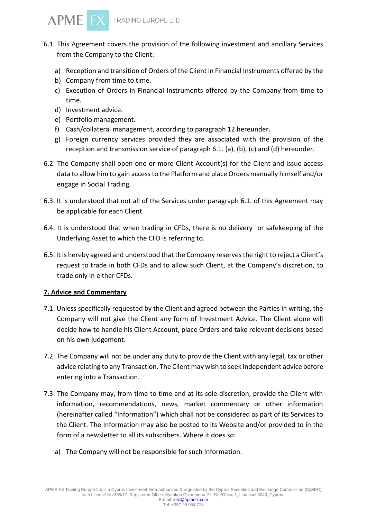

- 6.1. This Agreement covers the provision of the following investment and ancillary Services from the Company to the Client:
	- a) Reception and transition of Orders of the Client in Financial Instruments offered by the
	- b) Company from time to time.
	- c) Execution of Orders in Financial Instruments offered by the Company from time to time.
	- d) Investment advice.
	- e) Portfolio management.
	- f) Cash/collateral management, according to paragraph 12 hereunder.
	- g) Foreign currency services provided they are associated with the provision of the reception and transmission service of paragraph 6.1. (a), (b), (c) and (d) hereunder.
- 6.2. The Company shall open one or more Client Account(s) for the Client and issue access data to allow him to gain access to the Platform and place Orders manually himself and/or engage in Social Trading.
- 6.3. It is understood that not all of the Services under paragraph 6.1. of this Agreement may be applicable for each Client.
- 6.4. It is understood that when trading in CFDs, there is no delivery or safekeeping of the Underlying Asset to which the CFD is referring to.
- 6.5. It is hereby agreed and understood that the Company reserves the right to reject a Client's request to trade in both CFDs and to allow such Client, at the Company's discretion, to trade only in either CFDs.

## **7. Advice and Commentary**

- 7.1. Unless specifically requested by the Client and agreed between the Parties in writing, the Company will not give the Client any form of Investment Advice. The Client alone will decide how to handle his Client Account, place Orders and take relevant decisions based on his own judgement.
- 7.2. The Company will not be under any duty to provide the Client with any legal, tax or other advice relating to any Transaction. The Client may wish to seek independent advice before entering into a Transaction.
- 7.3. The Company may, from time to time and at its sole discretion, provide the Client with information, recommendations, news, market commentary or other information (hereinafter called "Information") which shall not be considered as part of its Services to the Client. The Information may also be posted to its Website and/or provided to in the form of a newsletter to all its subscribers. Where it does so:
	- a) The Company will not be responsible for such Information.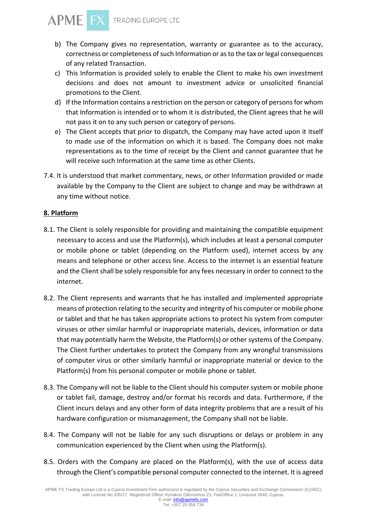

- b) The Company gives no representation, warranty or guarantee as to the accuracy, correctness or completeness of such Information or as to the tax or legal consequences of any related Transaction.
- c) This Information is provided solely to enable the Client to make his own investment decisions and does not amount to investment advice or unsolicited financial promotions to the Client.
- d) If the Information contains a restriction on the person or category of persons for whom that Information is intended or to whom it is distributed, the Client agrees that he will not pass it on to any such person or category of persons.
- e) The Client accepts that prior to dispatch, the Company may have acted upon it itself to made use of the information on which it is based. The Company does not make representations as to the time of receipt by the Client and cannot guarantee that he will receive such Information at the same time as other Clients.
- 7.4. It is understood that market commentary, news, or other Information provided or made available by the Company to the Client are subject to change and may be withdrawn at any time without notice.

## **8. Platform**

- 8.1. The Client is solely responsible for providing and maintaining the compatible equipment necessary to access and use the Platform(s), which includes at least a personal computer or mobile phone or tablet (depending on the Platform used), internet access by any means and telephone or other access line. Access to the internet is an essential feature and the Client shall be solely responsible for any fees necessary in order to connect to the internet.
- 8.2. The Client represents and warrants that he has installed and implemented appropriate means of protection relating to the security and integrity of his computer or mobile phone or tablet and that he has taken appropriate actions to protect his system from computer viruses or other similar harmful or inappropriate materials, devices, information or data that may potentially harm the Website, the Platform(s) or other systems of the Company. The Client further undertakes to protect the Company from any wrongful transmissions of computer virus or other similarly harmful or inappropriate material or device to the Platform(s) from his personal computer or mobile phone or tablet.
- 8.3. The Company will not be liable to the Client should his computer system or mobile phone or tablet fail, damage, destroy and/or format his records and data. Furthermore, if the Client incurs delays and any other form of data integrity problems that are a result of his hardware configuration or mismanagement, the Company shall not be liable.
- 8.4. The Company will not be liable for any such disruptions or delays or problem in any communication experienced by the Client when using the Platform(s).
- 8.5. Orders with the Company are placed on the Platform(s), with the use of access data through the Client's compatible personal computer connected to the internet. It is agreed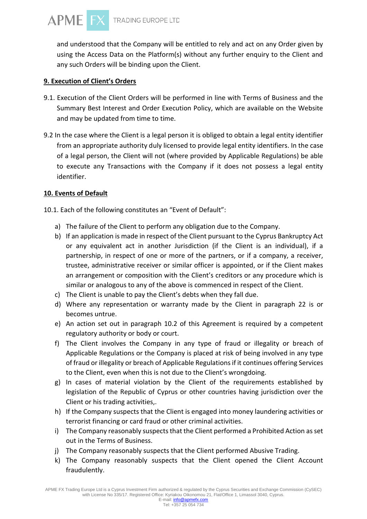

and understood that the Company will be entitled to rely and act on any Order given by using the Access Data on the Platform(s) without any further enquiry to the Client and any such Orders will be binding upon the Client.

#### **9. Execution of Client's Orders**

- 9.1. Execution of the Client Orders will be performed in line with Terms of Business and the Summary Best Interest and Order Execution Policy, which are available on the Website and may be updated from time to time.
- 9.2 In the case where the Client is a legal person it is obliged to obtain a legal entity identifier from an appropriate authority duly licensed to provide legal entity identifiers. In the case of a legal person, the Client will not (where provided by Applicable Regulations) be able to execute any Transactions with the Company if it does not possess a legal entity identifier.

#### **10. Events of Default**

10.1. Each of the following constitutes an "Event of Default":

- a) The failure of the Client to perform any obligation due to the Company.
- b) If an application is made in respect of the Client pursuant to the Cyprus Bankruptcy Act or any equivalent act in another Jurisdiction (if the Client is an individual), if a partnership, in respect of one or more of the partners, or if a company, a receiver, trustee, administrative receiver or similar officer is appointed, or if the Client makes an arrangement or composition with the Client's creditors or any procedure which is similar or analogous to any of the above is commenced in respect of the Client.
- c) The Client is unable to pay the Client's debts when they fall due.
- d) Where any representation or warranty made by the Client in paragraph 22 is or becomes untrue.
- e) An action set out in paragraph 10.2 of this Agreement is required by a competent regulatory authority or body or court.
- f) The Client involves the Company in any type of fraud or illegality or breach of Applicable Regulations or the Company is placed at risk of being involved in any type of fraud or illegality or breach of Applicable Regulations if it continues offering Services to the Client, even when this is not due to the Client's wrongdoing.
- g) In cases of material violation by the Client of the requirements established by legislation of the Republic of Cyprus or other countries having jurisdiction over the Client or his trading activities,.
- h) If the Company suspects that the Client is engaged into money laundering activities or terrorist financing or card fraud or other criminal activities.
- i) The Company reasonably suspects that the Client performed a Prohibited Action as set out in the Terms of Business.
- j) The Company reasonably suspects that the Client performed Abusive Trading.
- k) The Company reasonably suspects that the Client opened the Client Account fraudulently.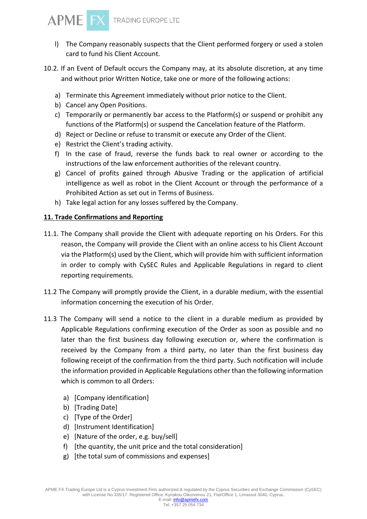

- l) The Company reasonably suspects that the Client performed forgery or used a stolen card to fund his Client Account.
- 10.2. If an Event of Default occurs the Company may, at its absolute discretion, at any time and without prior Written Notice, take one or more of the following actions:
	- a) Terminate this Agreement immediately without prior notice to the Client.
	- b) Cancel any Open Positions.
	- c) Temporarily or permanently bar access to the Platform(s) or suspend or prohibit any functions of the Platform(s) or suspend the Cancelation feature of the Platform.
	- d) Reject or Decline or refuse to transmit or execute any Order of the Client.
	- e) Restrict the Client's trading activity.
	- f) In the case of fraud, reverse the funds back to real owner or according to the instructions of the law enforcement authorities of the relevant country.
	- g) Cancel of profits gained through Abusive Trading or the application of artificial intelligence as well as robot in the Client Account or through the performance of a Prohibited Action as set out in Terms of Business.
	- h) Take legal action for any losses suffered by the Company.

## **11. Trade Confirmations and Reporting**

- 11.1. The Company shall provide the Client with adequate reporting on his Orders. For this reason, the Company will provide the Client with an online access to his Client Account via the Platform(s) used by the Client, which will provide him with sufficient information in order to comply with CySEC Rules and Applicable Regulations in regard to client reporting requirements.
- 11.2 The Company will promptly provide the Client, in a durable medium, with the essential information concerning the execution of his Order.
- 11.3 The Company will send a notice to the client in a durable medium as provided by Applicable Regulations confirming execution of the Order as soon as possible and no later than the first business day following execution or, where the confirmation is received by the Company from a third party, no later than the first business day following receipt of the confirmation from the third party. Such notification will include the information provided in Applicable Regulations other than the following information which is common to all Orders:
	- a) [Company identification]
	- b) [Trading Date]
	- c) [Type of the Order]
	- d) [Instrument Identification]
	- e) [Nature of the order, e.g. buy/sell]
	- f) [the quantity, the unit price and the total consideration]
	- g) [the total sum of commissions and expenses]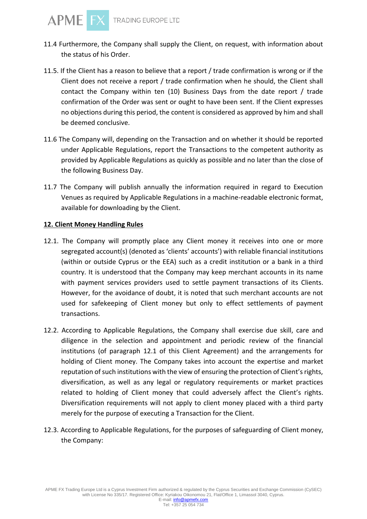- 11.4 Furthermore, the Company shall supply the Client, on request, with information about the status of his Order.
- 11.5. If the Client has a reason to believe that a report / trade confirmation is wrong or if the Client does not receive a report / trade confirmation when he should, the Client shall contact the Company within ten (10) Business Days from the date report / trade confirmation of the Order was sent or ought to have been sent. If the Client expresses no objections during this period, the content is considered as approved by him and shall be deemed conclusive.
- 11.6 The Company will, depending on the Transaction and on whether it should be reported under Applicable Regulations, report the Transactions to the competent authority as provided by Applicable Regulations as quickly as possible and no later than the close of the following Business Day.
- 11.7 The Company will publish annually the information required in regard to Execution Venues as required by Applicable Regulations in a machine-readable electronic format, available for downloading by the Client.

#### **12. Client Money Handling Rules**

**APME** 

- 12.1. The Company will promptly place any Client money it receives into one or more segregated account(s) (denoted as 'clients' accounts') with reliable financial institutions (within or outside Cyprus or the EEA) such as a credit institution or a bank in a third country. It is understood that the Company may keep merchant accounts in its name with payment services providers used to settle payment transactions of its Clients. However, for the avoidance of doubt, it is noted that such merchant accounts are not used for safekeeping of Client money but only to effect settlements of payment transactions.
- 12.2. According to Applicable Regulations, the Company shall exercise due skill, care and diligence in the selection and appointment and periodic review of the financial institutions (of paragraph 12.1 of this Client Agreement) and the arrangements for holding of Client money. The Company takes into account the expertise and market reputation of such institutions with the view of ensuring the protection of Client's rights, diversification, as well as any legal or regulatory requirements or market practices related to holding of Client money that could adversely affect the Client's rights. Diversification requirements will not apply to client money placed with a third party merely for the purpose of executing a Transaction for the Client.
- 12.3. According to Applicable Regulations, for the purposes of safeguarding of Client money, the Company: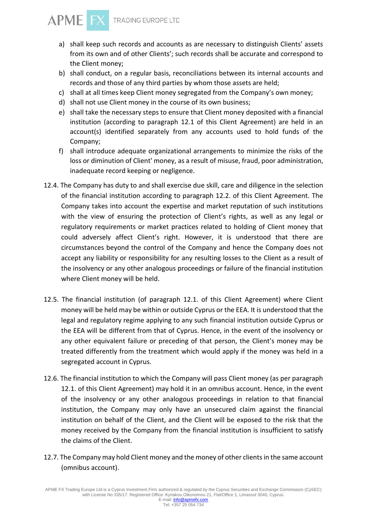

- a) shall keep such records and accounts as are necessary to distinguish Clients' assets from its own and of other Clients'; such records shall be accurate and correspond to the Client money;
- b) shall conduct, on a regular basis, reconciliations between its internal accounts and records and those of any third parties by whom those assets are held;
- c) shall at all times keep Client money segregated from the Company's own money;
- d) shall not use Client money in the course of its own business;
- e) shall take the necessary steps to ensure that Client money deposited with a financial institution (according to paragraph 12.1 of this Client Agreement) are held in an account(s) identified separately from any accounts used to hold funds of the Company;
- f) shall introduce adequate organizational arrangements to minimize the risks of the loss or diminution of Client' money, as a result of misuse, fraud, poor administration, inadequate record keeping or negligence.
- 12.4. The Company has duty to and shall exercise due skill, care and diligence in the selection of the financial institution according to paragraph 12.2. of this Client Agreement. The Company takes into account the expertise and market reputation of such institutions with the view of ensuring the protection of Client's rights, as well as any legal or regulatory requirements or market practices related to holding of Client money that could adversely affect Client's right. However, it is understood that there are circumstances beyond the control of the Company and hence the Company does not accept any liability or responsibility for any resulting losses to the Client as a result of the insolvency or any other analogous proceedings or failure of the financial institution where Client money will be held.
- 12.5. The financial institution (of paragraph 12.1. of this Client Agreement) where Client money will be held may be within or outside Cyprus or the EEA. It is understood that the legal and regulatory regime applying to any such financial institution outside Cyprus or the EEA will be different from that of Cyprus. Hence, in the event of the insolvency or any other equivalent failure or preceding of that person, the Client's money may be treated differently from the treatment which would apply if the money was held in a segregated account in Cyprus.
- 12.6. The financial institution to which the Company will pass Client money (as per paragraph 12.1. of this Client Agreement) may hold it in an omnibus account. Hence, in the event of the insolvency or any other analogous proceedings in relation to that financial institution, the Company may only have an unsecured claim against the financial institution on behalf of the Client, and the Client will be exposed to the risk that the money received by the Company from the financial institution is insufficient to satisfy the claims of the Client.
- 12.7. The Company may hold Client money and the money of other clients in the same account (omnibus account).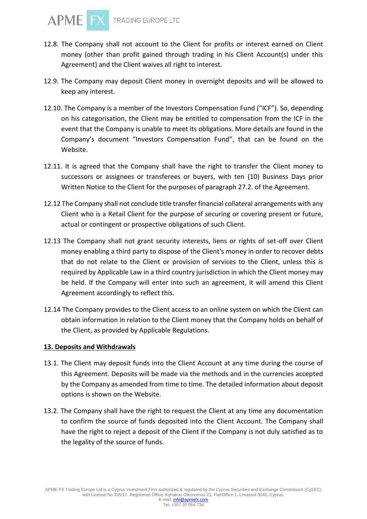

- 12.8. The Company shall not account to the Client for profits or interest earned on Client money (other than profit gained through trading in his Client Account(s) under this Agreement) and the Client waives all right to interest.
- 12.9. The Company may deposit Client money in overnight deposits and will be allowed to keep any interest.
- 12.10. The Company is a member of the Investors Compensation Fund ("ICF"). So, depending on his categorisation, the Client may be entitled to compensation from the ICF in the event that the Company is unable to meet its obligations. More details are found in the Company's document "Investors Compensation Fund", that can be found on the Website.
- 12.11. It is agreed that the Company shall have the right to transfer the Client money to successors or assignees or transferees or buyers, with ten (10) Business Days prior Written Notice to the Client for the purposes of paragraph 27.2. of the Agreement.
- 12.12 The Company shall not conclude title transfer financial collateral arrangements with any Client who is a Retail Client for the purpose of securing or covering present or future, actual or contingent or prospective obligations of such Client.
- 12.13 The Company shall not grant security interests, liens or rights of set-off over Client money enabling a third party to dispose of the Client's money in order to recover debts that do not relate to the Client or provision of services to the Client, unless this is required by Applicable Law in a third country jurisdiction in which the Client money may be held. If the Company will enter into such an agreement, it will amend this Client Agreement accordingly to reflect this.
- 12.14 The Company provides to the Client access to an online system on which the Client can obtain information in relation to the Client money that the Company holds on behalf of the Client, as provided by Applicable Regulations.

#### **13. Deposits and Withdrawals**

- 13.1. The Client may deposit funds into the Client Account at any time during the course of this Agreement. Deposits will be made via the methods and in the currencies accepted by the Company as amended from time to time. The detailed information about deposit options is shown on the Website.
- 13.2. The Company shall have the right to request the Client at any time any documentation to confirm the source of funds deposited into the Client Account. The Company shall have the right to reject a deposit of the Client if the Company is not duly satisfied as to the legality of the source of funds.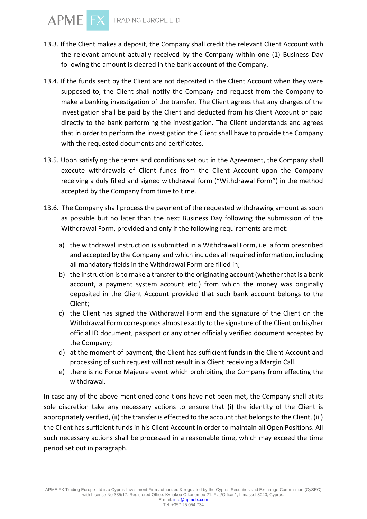- 13.3. If the Client makes a deposit, the Company shall credit the relevant Client Account with the relevant amount actually received by the Company within one (1) Business Day following the amount is cleared in the bank account of the Company.
- 13.4. If the funds sent by the Client are not deposited in the Client Account when they were supposed to, the Client shall notify the Company and request from the Company to make a banking investigation of the transfer. The Client agrees that any charges of the investigation shall be paid by the Client and deducted from his Client Account or paid directly to the bank performing the investigation. The Client understands and agrees that in order to perform the investigation the Client shall have to provide the Company with the requested documents and certificates.
- 13.5. Upon satisfying the terms and conditions set out in the Agreement, the Company shall execute withdrawals of Client funds from the Client Account upon the Company receiving a duly filled and signed withdrawal form ("Withdrawal Form") in the method accepted by the Company from time to time.
- 13.6. The Company shall process the payment of the requested withdrawing amount as soon as possible but no later than the next Business Day following the submission of the Withdrawal Form, provided and only if the following requirements are met:
	- a) the withdrawal instruction is submitted in a Withdrawal Form, i.e. a form prescribed and accepted by the Company and which includes all required information, including all mandatory fields in the Withdrawal Form are filled in;
	- b) the instruction is to make a transfer to the originating account (whether that is a bank account, a payment system account etc.) from which the money was originally deposited in the Client Account provided that such bank account belongs to the Client;
	- c) the Client has signed the Withdrawal Form and the signature of the Client on the Withdrawal Form corresponds almost exactly to the signature of the Client on his/her official ID document, passport or any other officially verified document accepted by the Company;
	- d) at the moment of payment, the Client has sufficient funds in the Client Account and processing of such request will not result in a Client receiving a Margin Call.
	- e) there is no Force Majeure event which prohibiting the Company from effecting the withdrawal.

In case any of the above-mentioned conditions have not been met, the Company shall at its sole discretion take any necessary actions to ensure that (i) the identity of the Client is appropriately verified, (ii) the transfer is effected to the account that belongs to the Client, (iii) the Client has sufficient funds in his Client Account in order to maintain all Open Positions. All such necessary actions shall be processed in a reasonable time, which may exceed the time period set out in paragraph.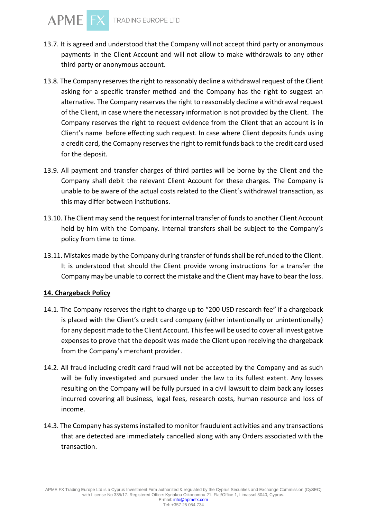- 13.7. It is agreed and understood that the Company will not accept third party or anonymous payments in the Client Account and will not allow to make withdrawals to any other third party or anonymous account.
- 13.8. The Company reserves the right to reasonably decline a withdrawal request of the Client asking for a specific transfer method and the Company has the right to suggest an alternative. The Company reserves the right to reasonably decline a withdrawal request of the Client, in case where the necessary information is not provided by the Client. The Company reserves the right to request evidence from the Client that an account is in Client's name before effecting such request. In case where Client deposits funds using a credit card, the Comapny reserves the right to remit funds back to the credit card used for the deposit.
- 13.9. All payment and transfer charges of third parties will be borne by the Client and the Company shall debit the relevant Client Account for these charges. The Company is unable to be aware of the actual costs related to the Client's withdrawal transaction, as this may differ between institutions.
- 13.10. The Client may send the request for internal transfer of funds to another Client Account held by him with the Company. Internal transfers shall be subject to the Company's policy from time to time.
- 13.11. Mistakes made by the Company during transfer of funds shall be refunded to the Client. It is understood that should the Client provide wrong instructions for a transfer the Company may be unable to correct the mistake and the Client may have to bear the loss.

## **14. Chargeback Policy**

- 14.1. The Company reserves the right to charge up to "200 USD research fee" if a chargeback is placed with the Client's credit card company (either intentionally or unintentionally) for any deposit made to the Client Account. This fee will be used to cover all investigative expenses to prove that the deposit was made the Client upon receiving the chargeback from the Company's merchant provider.
- 14.2. All fraud including credit card fraud will not be accepted by the Company and as such will be fully investigated and pursued under the law to its fullest extent. Any losses resulting on the Company will be fully pursued in a civil lawsuit to claim back any losses incurred covering all business, legal fees, research costs, human resource and loss of income.
- 14.3. The Company has systems installed to monitor fraudulent activities and any transactions that are detected are immediately cancelled along with any Orders associated with the transaction.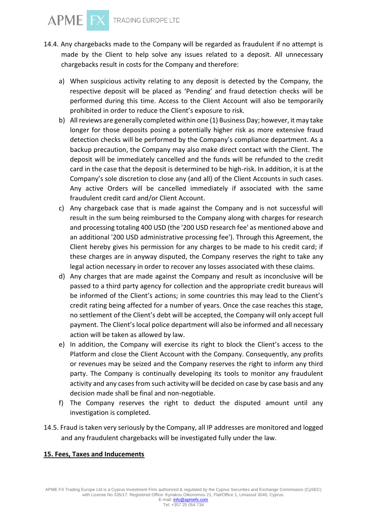- 14.4. Any chargebacks made to the Company will be regarded as fraudulent if no attempt is made by the Client to help solve any issues related to a deposit. All unnecessary chargebacks result in costs for the Company and therefore:
	- a) When suspicious activity relating to any deposit is detected by the Company, the respective deposit will be placed as 'Pending' and fraud detection checks will be performed during this time. Access to the Client Account will also be temporarily prohibited in order to reduce the Client's exposure to risk.
	- b) All reviews are generally completed within one (1) Business Day; however, it may take longer for those deposits posing a potentially higher risk as more extensive fraud detection checks will be performed by the Company's compliance department. As a backup precaution, the Company may also make direct contact with the Client. The deposit will be immediately cancelled and the funds will be refunded to the credit card in the case that the deposit is determined to be high-risk. In addition, it is at the Company's sole discretion to close any (and all) of the Client Accounts in such cases. Any active Orders will be cancelled immediately if associated with the same fraudulent credit card and/or Client Account.
	- c) Any chargeback case that is made against the Company and is not successful will result in the sum being reimbursed to the Company along with charges for research and processing totaling 400 USD (the '200 USD research fee' as mentioned above and an additional '200 USD administrative processing fee'). Through this Agreement, the Client hereby gives his permission for any charges to be made to his credit card; if these charges are in anyway disputed, the Company reserves the right to take any legal action necessary in order to recover any losses associated with these claims.
	- d) Any charges that are made against the Company and result as inconclusive will be passed to a third party agency for collection and the appropriate credit bureaus will be informed of the Client's actions; in some countries this may lead to the Client's credit rating being affected for a number of years. Once the case reaches this stage, no settlement of the Client's debt will be accepted, the Company will only accept full payment. The Client's local police department will also be informed and all necessary action will be taken as allowed by law.
	- e) In addition, the Company will exercise its right to block the Client's access to the Platform and close the Client Account with the Company. Consequently, any profits or revenues may be seized and the Company reserves the right to inform any third party. The Company is continually developing its tools to monitor any fraudulent activity and any cases from such activity will be decided on case by case basis and any decision made shall be final and non-negotiable.
	- f) The Company reserves the right to deduct the disputed amount until any investigation is completed.
- 14.5. Fraud is taken very seriously by the Company, all IP addresses are monitored and logged and any fraudulent chargebacks will be investigated fully under the law.

## **15. Fees, Taxes and Inducements**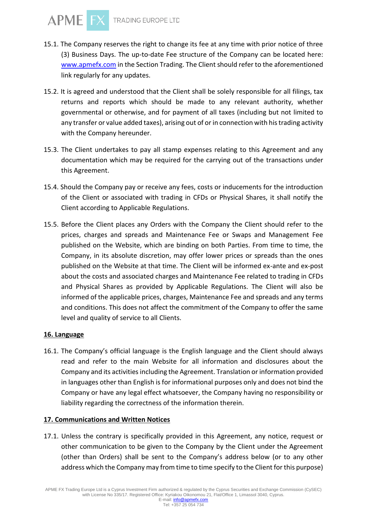- 15.1. The Company reserves the right to change its fee at any time with prior notice of three (3) Business Days. The up-to-date Fee structure of the Company can be located here: [www.apmefx.com](http://www.apmefx.com/) in the Section Trading. The Client should refer to the aforementioned link regularly for any updates.
- 15.2. It is agreed and understood that the Client shall be solely responsible for all filings, tax returns and reports which should be made to any relevant authority, whether governmental or otherwise, and for payment of all taxes (including but not limited to any transfer or value added taxes), arising out of or in connection with his trading activity with the Company hereunder.
- 15.3. The Client undertakes to pay all stamp expenses relating to this Agreement and any documentation which may be required for the carrying out of the transactions under this Agreement.
- 15.4. Should the Company pay or receive any fees, costs or inducements for the introduction of the Client or associated with trading in CFDs or Physical Shares, it shall notify the Client according to Applicable Regulations.
- 15.5. Before the Client places any Orders with the Company the Client should refer to the prices, charges and spreads and Maintenance Fee or Swaps and Management Fee published on the Website, which are binding on both Parties. From time to time, the Company, in its absolute discretion, may offer lower prices or spreads than the ones published on the Website at that time. The Client will be informed ex-ante and ex-post about the costs and associated charges and Maintenance Fee related to trading in CFDs and Physical Shares as provided by Applicable Regulations. The Client will also be informed of the applicable prices, charges, Maintenance Fee and spreads and any terms and conditions. This does not affect the commitment of the Company to offer the same level and quality of service to all Clients.

# **16. Language**

16.1. The Company's official language is the English language and the Client should always read and refer to the main Website for all information and disclosures about the Company and its activities including the Agreement. Translation or information provided in languages other than English is for informational purposes only and does not bind the Company or have any legal effect whatsoever, the Company having no responsibility or liability regarding the correctness of the information therein.

## **17. Communications and Written Notices**

17.1. Unless the contrary is specifically provided in this Agreement, any notice, request or other communication to be given to the Company by the Client under the Agreement (other than Orders) shall be sent to the Company's address below (or to any other address which the Company may from time to time specify to the Client for this purpose)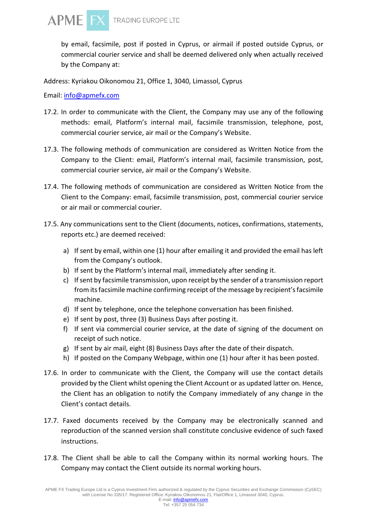

by email, facsimile, post if posted in Cyprus, or airmail if posted outside Cyprus, or commercial courier service and shall be deemed delivered only when actually received by the Company at:

Address: Kyriakou Oikonomou 21, Office 1, 3040, Limassol, Cyprus

Email: [info@apmefx.com](mailto:info@apmefx.com)

- 17.2. In order to communicate with the Client, the Company may use any of the following methods: email, Platform's internal mail, facsimile transmission, telephone, post, commercial courier service, air mail or the Company's Website.
- 17.3. The following methods of communication are considered as Written Notice from the Company to the Client: email, Platform's internal mail, facsimile transmission, post, commercial courier service, air mail or the Company's Website.
- 17.4. The following methods of communication are considered as Written Notice from the Client to the Company: email, facsimile transmission, post, commercial courier service or air mail or commercial courier.
- 17.5. Any communications sent to the Client (documents, notices, confirmations, statements, reports etc.) are deemed received:
	- a) If sent by email, within one (1) hour after emailing it and provided the email has left from the Company's outlook.
	- b) If sent by the Platform's internal mail, immediately after sending it.
	- c) If sent by facsimile transmission, upon receipt by the sender of a transmission report from its facsimile machine confirming receipt of the message by recipient's facsimile machine.
	- d) If sent by telephone, once the telephone conversation has been finished.
	- e) If sent by post, three (3) Business Days after posting it.
	- f) If sent via commercial courier service, at the date of signing of the document on receipt of such notice.
	- g) If sent by air mail, eight (8) Business Days after the date of their dispatch.
	- h) If posted on the Company Webpage, within one (1) hour after it has been posted.
- 17.6. In order to communicate with the Client, the Company will use the contact details provided by the Client whilst opening the Client Account or as updated latter on. Hence, the Client has an obligation to notify the Company immediately of any change in the Client's contact details.
- 17.7. Faxed documents received by the Company may be electronically scanned and reproduction of the scanned version shall constitute conclusive evidence of such faxed instructions.
- 17.8. The Client shall be able to call the Company within its normal working hours. The Company may contact the Client outside its normal working hours.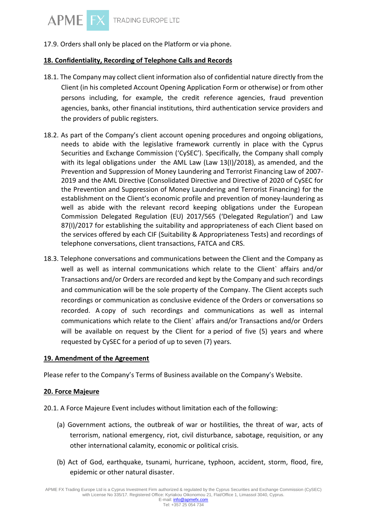17.9. Orders shall only be placed on the Platform or via phone.

## **18. Confidentiality, Recording of Telephone Calls and Records**

- 18.1. The Company may collect client information also of confidential nature directly from the Client (in his completed Account Opening Application Form or otherwise) or from other persons including, for example, the credit reference agencies, fraud prevention agencies, banks, other financial institutions, third authentication service providers and the providers of public registers.
- 18.2. As part of the Company's client account opening procedures and ongoing obligations, needs to abide with the legislative framework currently in place with the Cyprus Securities and Exchange Commission ('CySEC'). Specifically, the Company shall comply with its legal obligations under the AML Law (Law 13(I)/2018), as amended, and the Prevention and Suppression of Money Laundering and Terrorist Financing Law of 2007- 2019 and the AML Directive (Consolidated Directive and Directive of 2020 of CySEC for the Prevention and Suppression of Money Laundering and Terrorist Financing) for the establishment on the Client's economic profile and prevention of money-laundering as well as abide with the relevant record keeping obligations under the European Commission Delegated Regulation (EU) 2017/565 ('Delegated Regulation') and Law 87(I)/2017 for establishing the suitability and appropriateness of each Client based on the services offered by each CIF (Suitability & Appropriateness Tests) and recordings of telephone conversations, client transactions, FATCA and CRS.
- 18.3. Telephone conversations and communications between the Client and the Company as well as well as internal communications which relate to the Client` affairs and/or Transactions and/or Orders are recorded and kept by the Company and such recordings and communication will be the sole property of the Company. The Client accepts such recordings or communication as conclusive evidence of the Orders or conversations so recorded. A copy of such recordings and communications as well as internal communications which relate to the Client` affairs and/or Transactions and/or Orders will be available on request by the Client for a period of five (5) years and where requested by CySEC for a period of up to seven (7) years.

## **19. Amendment of the Agreement**

Please refer to the Company's Terms of Business available on the Company's Website.

#### **20. Force Majeure**

- 20.1. A Force Majeure Event includes without limitation each of the following:
	- (a) Government actions, the outbreak of war or hostilities, the threat of war, acts of terrorism, national emergency, riot, civil disturbance, sabotage, requisition, or any other international calamity, economic or political crisis.
	- (b) Act of God, earthquake, tsunami, hurricane, typhoon, accident, storm, flood, fire, epidemic or other natural disaster.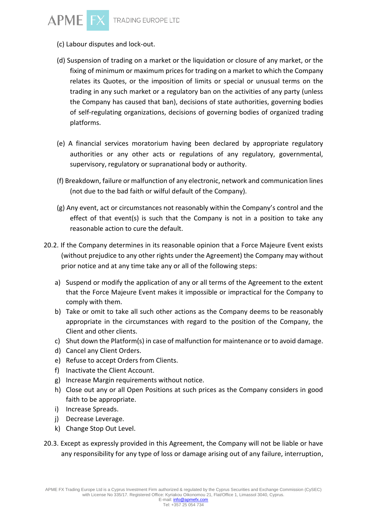

- (c) Labour disputes and lock-out.
- (d) Suspension of trading on a market or the liquidation or closure of any market, or the fixing of minimum or maximum prices for trading on a market to which the Company relates its Quotes, or the imposition of limits or special or unusual terms on the trading in any such market or a regulatory ban on the activities of any party (unless the Company has caused that ban), decisions of state authorities, governing bodies of self-regulating organizations, decisions of governing bodies of organized trading platforms.
- (e) A financial services moratorium having been declared by appropriate regulatory authorities or any other acts or regulations of any regulatory, governmental, supervisory, regulatory or supranational body or authority.
- (f) Breakdown, failure or malfunction of any electronic, network and communication lines (not due to the bad faith or wilful default of the Company).
- (g) Any event, act or circumstances not reasonably within the Company's control and the effect of that event(s) is such that the Company is not in a position to take any reasonable action to cure the default.
- 20.2. If the Company determines in its reasonable opinion that a Force Majeure Event exists (without prejudice to any other rights under the Agreement) the Company may without prior notice and at any time take any or all of the following steps:
	- a) Suspend or modify the application of any or all terms of the Agreement to the extent that the Force Majeure Event makes it impossible or impractical for the Company to comply with them.
	- b) Take or omit to take all such other actions as the Company deems to be reasonably appropriate in the circumstances with regard to the position of the Company, the Client and other clients.
	- c) Shut down the Platform(s) in case of malfunction for maintenance or to avoid damage.
	- d) Cancel any Client Orders.
	- e) Refuse to accept Orders from Clients.
	- f) Inactivate the Client Account.
	- g) Increase Margin requirements without notice.
	- h) Close out any or all Open Positions at such prices as the Company considers in good faith to be appropriate.
	- i) Increase Spreads.
	- j) Decrease Leverage.
	- k) Change Stop Out Level.
- 20.3. Except as expressly provided in this Agreement, the Company will not be liable or have any responsibility for any type of loss or damage arising out of any failure, interruption,

Tel: +357 25 054 734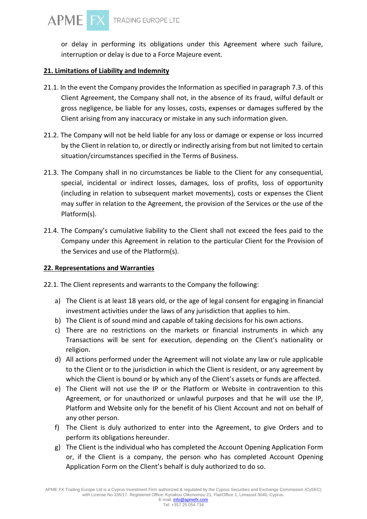or delay in performing its obligations under this Agreement where such failure, interruption or delay is due to a Force Majeure event.

# **21. Limitations of Liability and Indemnity**

- 21.1. In the event the Company provides the Information as specified in paragraph 7.3. of this Client Agreement, the Company shall not, in the absence of its fraud, wilful default or gross negligence, be liable for any losses, costs, expenses or damages suffered by the Client arising from any inaccuracy or mistake in any such information given.
- 21.2. The Company will not be held liable for any loss or damage or expense or loss incurred by the Client in relation to, or directly or indirectly arising from but not limited to certain situation/circumstances specified in the Terms of Business.
- 21.3. The Company shall in no circumstances be liable to the Client for any consequential, special, incidental or indirect losses, damages, loss of profits, loss of opportunity (including in relation to subsequent market movements), costs or expenses the Client may suffer in relation to the Agreement, the provision of the Services or the use of the Platform(s).
- 21.4. The Company's cumulative liability to the Client shall not exceed the fees paid to the Company under this Agreement in relation to the particular Client for the Provision of the Services and use of the Platform(s).

# **22. Representations and Warranties**

- 22.1. The Client represents and warrants to the Company the following:
	- a) The Client is at least 18 years old, or the age of legal consent for engaging in financial investment activities under the laws of any jurisdiction that applies to him.
	- b) The Client is of sound mind and capable of taking decisions for his own actions.
	- c) There are no restrictions on the markets or financial instruments in which any Transactions will be sent for execution, depending on the Client's nationality or religion.
	- d) All actions performed under the Agreement will not violate any law or rule applicable to the Client or to the jurisdiction in which the Client is resident, or any agreement by which the Client is bound or by which any of the Client's assets or funds are affected.
	- e) The Client will not use the IP or the Platform or Website in contravention to this Agreement, or for unauthorized or unlawful purposes and that he will use the IP, Platform and Website only for the benefit of his Client Account and not on behalf of any other person.
	- f) The Client is duly authorized to enter into the Agreement, to give Orders and to perform its obligations hereunder.
	- g) The Client is the individual who has completed the Account Opening Application Form or, if the Client is a company, the person who has completed Account Opening Application Form on the Client's behalf is duly authorized to do so.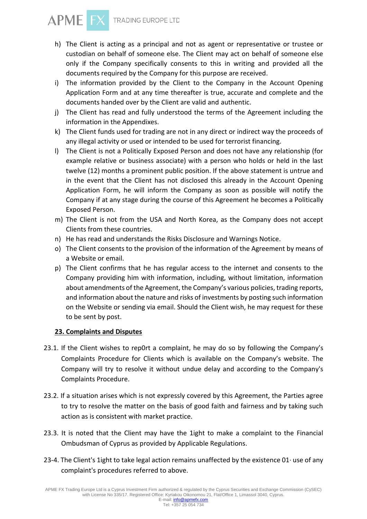

- h) The Client is acting as a principal and not as agent or representative or trustee or custodian on behalf of someone else. The Client may act on behalf of someone else only if the Company specifically consents to this in writing and provided all the documents required by the Company for this purpose are received.
- i) The information provided by the Client to the Company in the Account Opening Application Form and at any time thereafter is true, accurate and complete and the documents handed over by the Client are valid and authentic.
- j) The Client has read and fully understood the terms of the Agreement including the information in the Appendixes.
- k) The Client funds used for trading are not in any direct or indirect way the proceeds of any illegal activity or used or intended to be used for terrorist financing.
- l) The Client is not a Politically Exposed Person and does not have any relationship (for example relative or business associate) with a person who holds or held in the last twelve (12) months a prominent public position. If the above statement is untrue and in the event that the Client has not disclosed this already in the Account Opening Application Form, he will inform the Company as soon as possible will notify the Company if at any stage during the course of this Agreement he becomes a Politically Exposed Person.
- m) The Client is not from the USA and North Korea, as the Company does not accept Clients from these countries.
- n) He has read and understands the Risks Disclosure and Warnings Notice.
- o) The Client consents to the provision of the information of the Agreement by means of a Website or email.
- p) The Client confirms that he has regular access to the internet and consents to the Company providing him with information, including, without limitation, information about amendments of the Agreement, the Company's various policies, trading reports, and information about the nature and risks of investments by posting such information on the Website or sending via email. Should the Client wish, he may request for these to be sent by post.

## **23. Complaints and Disputes**

- 23.1. If the Client wishes to rep0rt a complaint, he may do so by following the Company's Complaints Procedure for Clients which is available on the Company's website. The Company will try to resolve it without undue delay and according to the Company's Complaints Procedure.
- 23.2. If a situation arises which is not expressly covered by this Agreement, the Parties agree to try to resolve the matter on the basis of good faith and fairness and by taking such action as is consistent with market practice.
- 23.3. It is noted that the Client may have the 1ight to make a complaint to the Financial Ombudsman of Cyprus as provided by Applicable Regulations.
- 23-4. The Client's 1ight to take legal action remains unaffected by the existence  $01$  use of any complaint's procedures referred to above.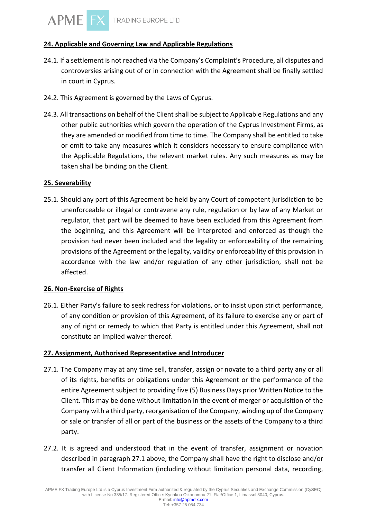# **24. Applicable and Governing Law and Applicable Regulations**

- 24.1. If a settlement is not reached via the Company's Complaint's Procedure, all disputes and controversies arising out of or in connection with the Agreement shall be finally settled in court in Cyprus.
- 24.2. This Agreement is governed by the Laws of Cyprus.
- 24.3. All transactions on behalf of the Client shall be subject to Applicable Regulations and any other public authorities which govern the operation of the Cyprus Investment Firms, as they are amended or modified from time to time. The Company shall be entitled to take or omit to take any measures which it considers necessary to ensure compliance with the Applicable Regulations, the relevant market rules. Any such measures as may be taken shall be binding on the Client.

## **25. Severability**

25.1. Should any part of this Agreement be held by any Court of competent jurisdiction to be unenforceable or illegal or contravene any rule, regulation or by law of any Market or regulator, that part will be deemed to have been excluded from this Agreement from the beginning, and this Agreement will be interpreted and enforced as though the provision had never been included and the legality or enforceability of the remaining provisions of the Agreement or the legality, validity or enforceability of this provision in accordance with the law and/or regulation of any other jurisdiction, shall not be affected.

## **26. Non-Exercise of Rights**

26.1. Either Party's failure to seek redress for violations, or to insist upon strict performance, of any condition or provision of this Agreement, of its failure to exercise any or part of any of right or remedy to which that Party is entitled under this Agreement, shall not constitute an implied waiver thereof.

## **27. Assignment, Authorised Representative and Introducer**

- 27.1. The Company may at any time sell, transfer, assign or novate to a third party any or all of its rights, benefits or obligations under this Agreement or the performance of the entire Agreement subject to providing five (5) Business Days prior Written Notice to the Client. This may be done without limitation in the event of merger or acquisition of the Company with a third party, reorganisation of the Company, winding up of the Company or sale or transfer of all or part of the business or the assets of the Company to a third party.
- 27.2. It is agreed and understood that in the event of transfer, assignment or novation described in paragraph 27.1 above, the Company shall have the right to disclose and/or transfer all Client Information (including without limitation personal data, recording,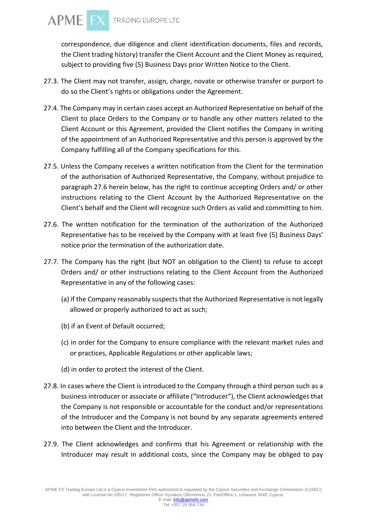

correspondence, due diligence and client identification documents, files and records, the Client trading history) transfer the Client Account and the Client Money as required, subject to providing five (5) Business Days prior Written Notice to the Client.

- 27.3. The Client may not transfer, assign, charge, novate or otherwise transfer or purport to do so the Client's rights or obligations under the Agreement.
- 27.4. The Company may in certain cases accept an Authorized Representative on behalf of the Client to place Orders to the Company or to handle any other matters related to the Client Account or this Agreement, provided the Client notifies the Company in writing of the appointment of an Authorized Representative and this person is approved by the Company fulfilling all of the Company specifications for this.
- 27.5. Unless the Company receives a written notification from the Client for the termination of the authorisation of Authorized Representative, the Company, without prejudice to paragraph 27.6 herein below, has the right to continue accepting Orders and/ or other instructions relating to the Client Account by the Authorized Representative on the Client's behalf and the Client will recognize such Orders as valid and committing to him.
- 27.6. The written notification for the termination of the authorization of the Authorized Representative has to be received by the Company with at least five (5) Business Days' notice prior the termination of the authorization date.
- 27.7. The Company has the right (but NOT an obligation to the Client) to refuse to accept Orders and/ or other instructions relating to the Client Account from the Authorized Representative in any of the following cases:
	- (a) if the Company reasonably suspects that the Authorized Representative is not legally allowed or properly authorized to act as such;
	- (b) if an Event of Default occurred;
	- (c) in order for the Company to ensure compliance with the relevant market rules and or practices, Applicable Regulations or other applicable laws;
	- (d) in order to protect the interest of the Client.
- 27.8. In cases where the Client is introduced to the Company through a third person such as a business introducer or associate or affiliate ("Introducer"), the Client acknowledges that the Company is not responsible or accountable for the conduct and/or representations of the Introducer and the Company is not bound by any separate agreements entered into between the Client and the Introducer.
- 27.9. The Client acknowledges and confirms that his Agreement or relationship with the Introducer may result in additional costs, since the Company may be obliged to pay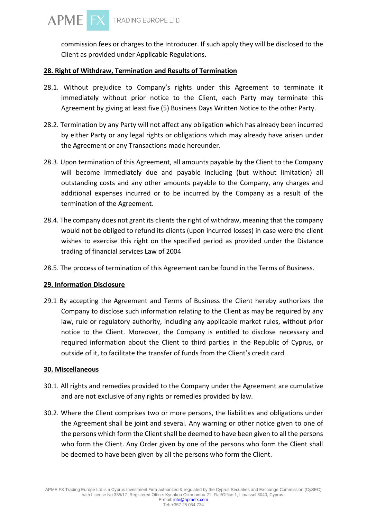commission fees or charges to the Introducer. If such apply they will be disclosed to the Client as provided under Applicable Regulations.

## **28. Right of Withdraw, Termination and Results of Termination**

- 28.1. Without prejudice to Company's rights under this Agreement to terminate it immediately without prior notice to the Client, each Party may terminate this Agreement by giving at least five (5) Business Days Written Notice to the other Party.
- 28.2. Termination by any Party will not affect any obligation which has already been incurred by either Party or any legal rights or obligations which may already have arisen under the Agreement or any Transactions made hereunder.
- 28.3. Upon termination of this Agreement, all amounts payable by the Client to the Company will become immediately due and payable including (but without limitation) all outstanding costs and any other amounts payable to the Company, any charges and additional expenses incurred or to be incurred by the Company as a result of the termination of the Agreement.
- 28.4. The company does not grant its clients the right of withdraw, meaning that the company would not be obliged to refund its clients (upon incurred losses) in case were the client wishes to exercise this right on the specified period as provided under the Distance trading of financial services Law of 2004
- 28.5. The process of termination of this Agreement can be found in the Terms of Business.

# **29. Information Disclosure**

29.1 By accepting the Agreement and Terms of Business the Client hereby authorizes the Company to disclose such information relating to the Client as may be required by any law, rule or regulatory authority, including any applicable market rules, without prior notice to the Client. Moreover, the Company is entitled to disclose necessary and required information about the Client to third parties in the Republic of Cyprus, or outside of it, to facilitate the transfer of funds from the Client's credit card.

## **30. Miscellaneous**

- 30.1. All rights and remedies provided to the Company under the Agreement are cumulative and are not exclusive of any rights or remedies provided by law.
- 30.2. Where the Client comprises two or more persons, the liabilities and obligations under the Agreement shall be joint and several. Any warning or other notice given to one of the persons which form the Client shall be deemed to have been given to all the persons who form the Client. Any Order given by one of the persons who form the Client shall be deemed to have been given by all the persons who form the Client.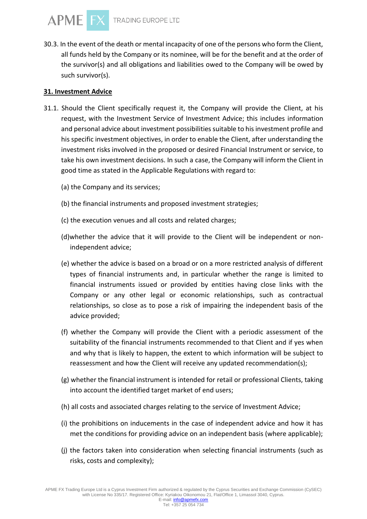30.3. In the event of the death or mental incapacity of one of the persons who form the Client, all funds held by the Company or its nominee, will be for the benefit and at the order of the survivor(s) and all obligations and liabilities owed to the Company will be owed by such survivor(s).

## **31. Investment Advice**

- 31.1. Should the Client specifically request it, the Company will provide the Client, at his request, with the Investment Service of Investment Advice; this includes information and personal advice about investment possibilities suitable to his investment profile and his specific investment objectives, in order to enable the Client, after understanding the investment risks involved in the proposed or desired Financial Instrument or service, to take his own investment decisions. In such a case, the Company will inform the Client in good time as stated in the Applicable Regulations with regard to:
	- (a) the Company and its services;
	- (b) the financial instruments and proposed investment strategies;
	- (c) the execution venues and all costs and related charges;
	- (d)whether the advice that it will provide to the Client will be independent or nonindependent advice;
	- (e) whether the advice is based on a broad or on a more restricted analysis of different types of financial instruments and, in particular whether the range is limited to financial instruments issued or provided by entities having close links with the Company or any other legal or economic relationships, such as contractual relationships, so close as to pose a risk of impairing the independent basis of the advice provided;
	- (f) whether the Company will provide the Client with a periodic assessment of the suitability of the financial instruments recommended to that Client and if yes when and why that is likely to happen, the extent to which information will be subject to reassessment and how the Client will receive any updated recommendation(s);
	- (g) whether the financial instrument is intended for retail or professional Clients, taking into account the identified target market of end users;
	- (h) all costs and associated charges relating to the service of Investment Advice;
	- (i) the prohibitions on inducements in the case of independent advice and how it has met the conditions for providing advice on an independent basis (where applicable);
	- (j) the factors taken into consideration when selecting financial instruments (such as risks, costs and complexity);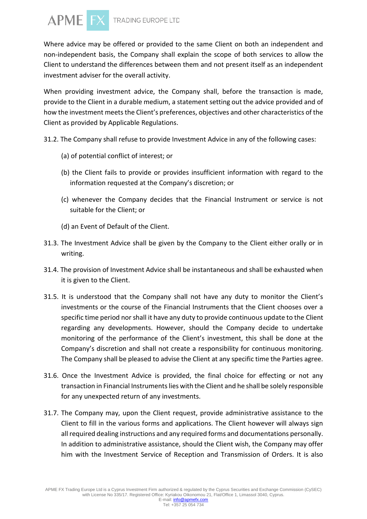

Where advice may be offered or provided to the same Client on both an independent and non-independent basis, the Company shall explain the scope of both services to allow the Client to understand the differences between them and not present itself as an independent investment adviser for the overall activity.

When providing investment advice, the Company shall, before the transaction is made, provide to the Client in a durable medium, a statement setting out the advice provided and of how the investment meets the Client's preferences, objectives and other characteristics of the Client as provided by Applicable Regulations.

- 31.2. The Company shall refuse to provide Investment Advice in any of the following cases:
	- (a) of potential conflict of interest; or
	- (b) the Client fails to provide or provides insufficient information with regard to the information requested at the Company's discretion; or
	- (c) whenever the Company decides that the Financial Instrument or service is not suitable for the Client; or
	- (d) an Event of Default of the Client.
- 31.3. The Investment Advice shall be given by the Company to the Client either orally or in writing.
- 31.4. The provision of Investment Advice shall be instantaneous and shall be exhausted when it is given to the Client.
- 31.5. It is understood that the Company shall not have any duty to monitor the Client's investments or the course of the Financial Instruments that the Client chooses over a specific time period nor shall it have any duty to provide continuous update to the Client regarding any developments. However, should the Company decide to undertake monitoring of the performance of the Client's investment, this shall be done at the Company's discretion and shall not create a responsibility for continuous monitoring. The Company shall be pleased to advise the Client at any specific time the Parties agree.
- 31.6. Once the Investment Advice is provided, the final choice for effecting or not any transaction in Financial Instruments lies with the Client and he shall be solely responsible for any unexpected return of any investments.
- 31.7. The Company may, upon the Client request, provide administrative assistance to the Client to fill in the various forms and applications. The Client however will always sign all required dealing instructions and any required forms and documentations personally. In addition to administrative assistance, should the Client wish, the Company may offer him with the Investment Service of Reception and Transmission of Orders. It is also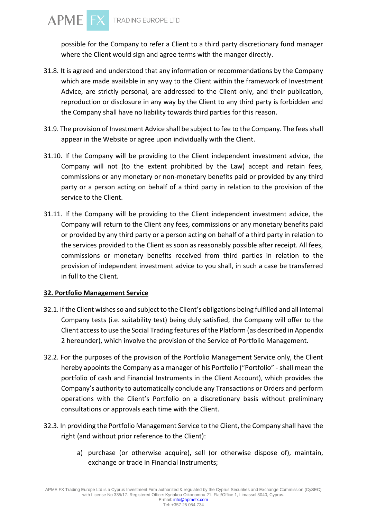

possible for the Company to refer a Client to a third party discretionary fund manager where the Client would sign and agree terms with the manger directly.

- 31.8. It is agreed and understood that any information or recommendations by the Company which are made available in any way to the Client within the framework of Investment Advice, are strictly personal, are addressed to the Client only, and their publication, reproduction or disclosure in any way by the Client to any third party is forbidden and the Company shall have no liability towards third parties for this reason.
- 31.9. The provision of Investment Advice shall be subject to fee to the Company. The fees shall appear in the Website or agree upon individually with the Client.
- 31.10. If the Company will be providing to the Client independent investment advice, the Company will not (to the extent prohibited by the Law) accept and retain fees, commissions or any monetary or non-monetary benefits paid or provided by any third party or a person acting on behalf of a third party in relation to the provision of the service to the Client.
- 31.11. If the Company will be providing to the Client independent investment advice, the Company will return to the Client any fees, commissions or any monetary benefits paid or provided by any third party or a person acting on behalf of a third party in relation to the services provided to the Client as soon as reasonably possible after receipt. All fees, commissions or monetary benefits received from third parties in relation to the provision of independent investment advice to you shall, in such a case be transferred in full to the Client.

#### **32. Portfolio Management Service**

- 32.1. If the Client wishes so and subject to the Client's obligations being fulfilled and all internal Company tests (i.e. suitability test) being duly satisfied, the Company will offer to the Client access to use the Social Trading features of the Platform (as described in Appendix 2 hereunder), which involve the provision of the Service of Portfolio Management.
- 32.2. For the purposes of the provision of the Portfolio Management Service only, the Client hereby appoints the Company as a manager of his Portfolio ("Portfolio" - shall mean the portfolio of cash and Financial Instruments in the Client Account), which provides the Company's authority to automatically conclude any Transactions or Orders and perform operations with the Client's Portfolio on a discretionary basis without preliminary consultations or approvals each time with the Client.
- 32.3. In providing the Portfolio Management Service to the Client, the Company shall have the right (and without prior reference to the Client):
	- a) purchase (or otherwise acquire), sell (or otherwise dispose of), maintain, exchange or trade in Financial Instruments;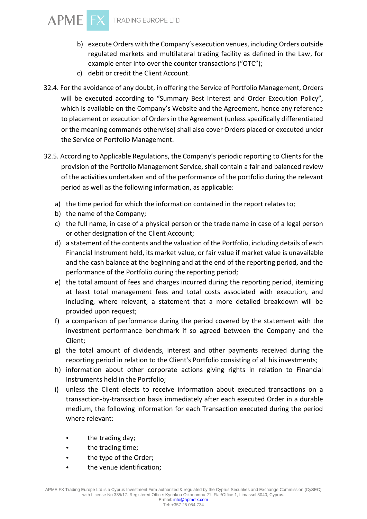

- b) execute Orders with the Company's execution venues, including Orders outside regulated markets and multilateral trading facility as defined in the Law, for example enter into over the counter transactions ("OTC");
- c) debit or credit the Client Account.
- 32.4. For the avoidance of any doubt, in offering the Service of Portfolio Management, Orders will be executed according to "Summary Best Interest and Order Execution Policy", which is available on the Company's Website and the Agreement, hence any reference to placement or execution of Orders in the Agreement (unless specifically differentiated or the meaning commands otherwise) shall also cover Orders placed or executed under the Service of Portfolio Management.
- 32.5. According to Applicable Regulations, the Company's periodic reporting to Clients for the provision of the Portfolio Management Service, shall contain a fair and balanced review of the activities undertaken and of the performance of the portfolio during the relevant period as well as the following information, as applicable:
	- a) the time period for which the information contained in the report relates to;
	- b) the name of the Company;
	- c) the full name, in case of a physical person or the trade name in case of a legal person or other designation of the Client Account;
	- d) a statement of the contents and the valuation of the Portfolio, including details of each Financial Instrument held, its market value, or fair value if market value is unavailable and the cash balance at the beginning and at the end of the reporting period, and the performance of the Portfolio during the reporting period;
	- e) the total amount of fees and charges incurred during the reporting period, itemizing at least total management fees and total costs associated with execution, and including, where relevant, a statement that a more detailed breakdown will be provided upon request;
	- f) a comparison of performance during the period covered by the statement with the investment performance benchmark if so agreed between the Company and the Client;
	- g) the total amount of dividends, interest and other payments received during the reporting period in relation to the Client's Portfolio consisting of all his investments;
	- h) information about other corporate actions giving rights in relation to Financial Instruments held in the Portfolio;
	- i) unless the Client elects to receive information about executed transactions on a transaction-by-transaction basis immediately after each executed Order in a durable medium, the following information for each Transaction executed during the period where relevant:
		- the trading day;
		- the trading time;
		- the type of the Order;
		- the venue identification;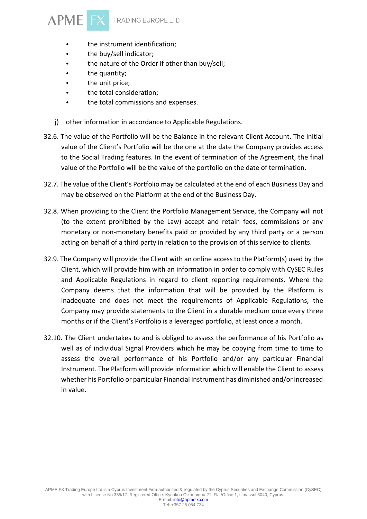

- the instrument identification;
- the buy/sell indicator;
- the nature of the Order if other than buy/sell;
- the quantity;
- the unit price;
- the total consideration;
- the total commissions and expenses.
- j) other information in accordance to Applicable Regulations.
- 32.6. The value of the Portfolio will be the Balance in the relevant Client Account. The initial value of the Client's Portfolio will be the one at the date the Company provides access to the Social Trading features. In the event of termination of the Agreement, the final value of the Portfolio will be the value of the portfolio on the date of termination.
- 32.7. The value of the Client's Portfolio may be calculated at the end of each Business Day and may be observed on the Platform at the end of the Business Day.
- 32.8. When providing to the Client the Portfolio Management Service, the Company will not (to the extent prohibited by the Law) accept and retain fees, commissions or any monetary or non-monetary benefits paid or provided by any third party or a person acting on behalf of a third party in relation to the provision of this service to clients.
- 32.9. The Company will provide the Client with an online access to the Platform(s) used by the Client, which will provide him with an information in order to comply with CySEC Rules and Applicable Regulations in regard to client reporting requirements. Where the Company deems that the information that will be provided by the Platform is inadequate and does not meet the requirements of Applicable Regulations, the Company may provide statements to the Client in a durable medium once every three months or if the Client's Portfolio is a leveraged portfolio, at least once a month.
- 32.10. The Client undertakes to and is obliged to assess the performance of his Portfolio as well as of individual Signal Providers which he may be copying from time to time to assess the overall performance of his Portfolio and/or any particular Financial Instrument. The Platform will provide information which will enable the Client to assess whether his Portfolio or particular Financial Instrument has diminished and/or increased in value.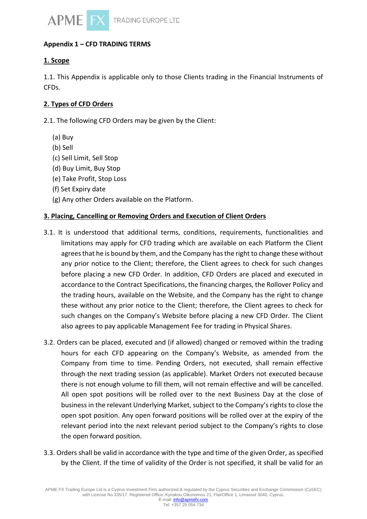

# **Appendix 1 – CFD TRADING TERMS**

# **1. Scope**

1.1. This Appendix is applicable only to those Clients trading in the Financial Instruments of CFDs.

#### **2. Types of CFD Orders**

2.1. The following CFD Orders may be given by the Client:

- (a) Buy
- (b) Sell
- (c) Sell Limit, Sell Stop
- (d) Buy Limit, Buy Stop
- (e) Take Profit, Stop Loss
- (f) Set Expiry date
- (g) Any other Orders available on the Platform.

#### **3. Placing, Cancelling or Removing Orders and Execution of Client Orders**

- 3.1. It is understood that additional terms, conditions, requirements, functionalities and limitations may apply for CFD trading which are available on each Platform the Client agrees that he is bound by them, and the Company has the right to change these without any prior notice to the Client; therefore, the Client agrees to check for such changes before placing a new CFD Order. In addition, CFD Orders are placed and executed in accordance to the Contract Specifications, the financing charges, the Rollover Policy and the trading hours, available on the Website, and the Company has the right to change these without any prior notice to the Client; therefore, the Client agrees to check for such changes on the Company's Website before placing a new CFD Order. The Client also agrees to pay applicable Management Fee for trading in Physical Shares.
- 3.2. Orders can be placed, executed and (if allowed) changed or removed within the trading hours for each CFD appearing on the Company's Website, as amended from the Company from time to time. Pending Orders, not executed, shall remain effective through the next trading session (as applicable). Market Orders not executed because there is not enough volume to fill them, will not remain effective and will be cancelled. All open spot positions will be rolled over to the next Business Day at the close of business in the relevant Underlying Market, subject to the Company's rights to close the open spot position. Any open forward positions will be rolled over at the expiry of the relevant period into the next relevant period subject to the Company's rights to close the open forward position.
- 3.3. Orders shall be valid in accordance with the type and time of the given Order, as specified by the Client. If the time of validity of the Order is not specified, it shall be valid for an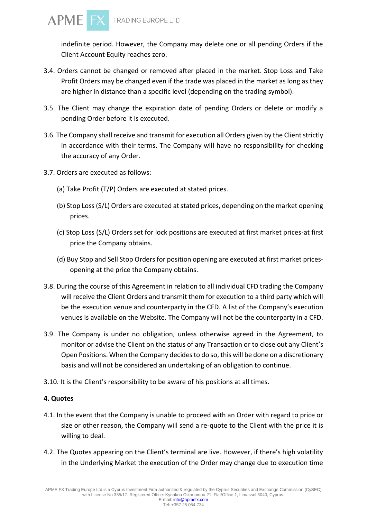

indefinite period. However, the Company may delete one or all pending Orders if the Client Account Equity reaches zero.

- 3.4. Orders cannot be changed or removed after placed in the market. Stop Loss and Take Profit Orders may be changed even if the trade was placed in the market as long as they are higher in distance than a specific level (depending on the trading symbol).
- 3.5. The Client may change the expiration date of pending Orders or delete or modify a pending Order before it is executed.
- 3.6. The Company shall receive and transmit for execution all Orders given by the Client strictly in accordance with their terms. The Company will have no responsibility for checking the accuracy of any Order.
- 3.7. Orders are executed as follows:
	- (a) Take Profit (T/P) Orders are executed at stated prices.
	- (b) Stop Loss (S/L) Orders are executed at stated prices, depending on the market opening prices.
	- (c) Stop Loss (S/L) Orders set for lock positions are executed at first market prices-at first price the Company obtains.
	- (d) Buy Stop and Sell Stop Orders for position opening are executed at first market pricesopening at the price the Company obtains.
- 3.8. During the course of this Agreement in relation to all individual CFD trading the Company will receive the Client Orders and transmit them for execution to a third party which will be the execution venue and counterparty in the CFD. A list of the Company's execution venues is available on the Website. The Company will not be the counterparty in a CFD.
- 3.9. The Company is under no obligation, unless otherwise agreed in the Agreement, to monitor or advise the Client on the status of any Transaction or to close out any Client's Open Positions. When the Company decides to do so, this will be done on a discretionary basis and will not be considered an undertaking of an obligation to continue.
- 3.10. It is the Client's responsibility to be aware of his positions at all times.

## **4. Quotes**

- 4.1. In the event that the Company is unable to proceed with an Order with regard to price or size or other reason, the Company will send a re-quote to the Client with the price it is willing to deal.
- 4.2. The Quotes appearing on the Client's terminal are live. However, if there's high volatility in the Underlying Market the execution of the Order may change due to execution time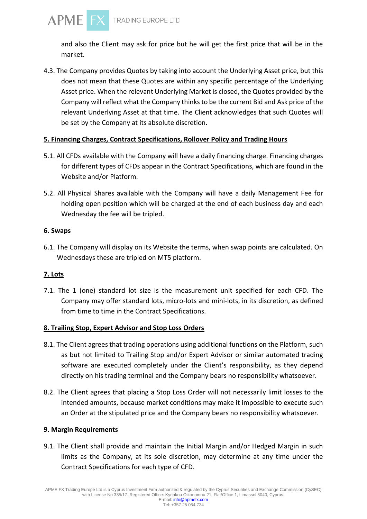

and also the Client may ask for price but he will get the first price that will be in the market.

4.3. The Company provides Quotes by taking into account the Underlying Asset price, but this does not mean that these Quotes are within any specific percentage of the Underlying Asset price. When the relevant Underlying Market is closed, the Quotes provided by the Company will reflect what the Company thinks to be the current Bid and Ask price of the relevant Underlying Asset at that time. The Client acknowledges that such Quotes will be set by the Company at its absolute discretion.

## **5. Financing Charges, Contract Specifications, Rollover Policy and Trading Hours**

- 5.1. All CFDs available with the Company will have a daily financing charge. Financing charges for different types of CFDs appear in the Contract Specifications, which are found in the Website and/or Platform.
- 5.2. All Physical Shares available with the Company will have a daily Management Fee for holding open position which will be charged at the end of each business day and each Wednesday the fee will be tripled.

# **6. Swaps**

**APME** 

6.1. The Company will display on its Website the terms, when swap points are calculated. On Wednesdays these are tripled on MT5 platform.

# **7. Lots**

7.1. The 1 (one) standard lot size is the measurement unit specified for each CFD. The Company may offer standard lots, micro-lots and mini-lots, in its discretion, as defined from time to time in the Contract Specifications.

## **8. Trailing Stop, Expert Advisor and Stop Loss Orders**

- 8.1. The Client agrees that trading operations using additional functions on the Platform, such as but not limited to Trailing Stop and/or Expert Advisor or similar automated trading software are executed completely under the Client's responsibility, as they depend directly on his trading terminal and the Company bears no responsibility whatsoever.
- 8.2. The Client agrees that placing a Stop Loss Order will not necessarily limit losses to the intended amounts, because market conditions may make it impossible to execute such an Order at the stipulated price and the Company bears no responsibility whatsoever.

## **9. Margin Requirements**

9.1. The Client shall provide and maintain the Initial Margin and/or Hedged Margin in such limits as the Company, at its sole discretion, may determine at any time under the Contract Specifications for each type of CFD.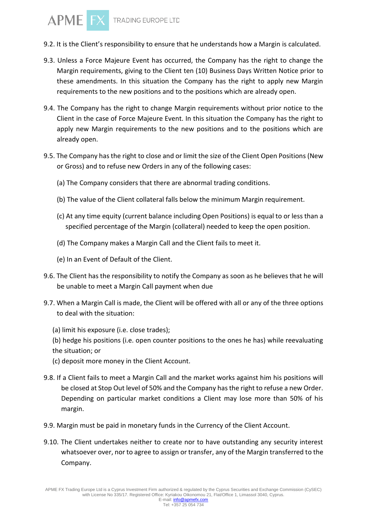- 9.2. It is the Client's responsibility to ensure that he understands how a Margin is calculated.
- 9.3. Unless a Force Majeure Event has occurred, the Company has the right to change the Margin requirements, giving to the Client ten (10) Business Days Written Notice prior to these amendments. In this situation the Company has the right to apply new Margin requirements to the new positions and to the positions which are already open.
- 9.4. The Company has the right to change Margin requirements without prior notice to the Client in the case of Force Majeure Event. In this situation the Company has the right to apply new Margin requirements to the new positions and to the positions which are already open.
- 9.5. The Company has the right to close and or limit the size of the Client Open Positions (New or Gross) and to refuse new Orders in any of the following cases:
	- (a) The Company considers that there are abnormal trading conditions.
	- (b) The value of the Client collateral falls below the minimum Margin requirement.
	- (c) At any time equity (current balance including Open Positions) is equal to or less than a specified percentage of the Margin (collateral) needed to keep the open position.
	- (d) The Company makes a Margin Call and the Client fails to meet it.
	- (e) In an Event of Default of the Client.
- 9.6. The Client has the responsibility to notify the Company as soon as he believes that he will be unable to meet a Margin Call payment when due
- 9.7. When a Margin Call is made, the Client will be offered with all or any of the three options to deal with the situation:
	- (a) limit his exposure (i.e. close trades);
	- (b) hedge his positions (i.e. open counter positions to the ones he has) while reevaluating the situation; or
	- (c) deposit more money in the Client Account.
- 9.8. If a Client fails to meet a Margin Call and the market works against him his positions will be closed at Stop Out level of 50% and the Company has the right to refuse a new Order. Depending on particular market conditions a Client may lose more than 50% of his margin.
- 9.9. Margin must be paid in monetary funds in the Currency of the Client Account.
- 9.10. The Client undertakes neither to create nor to have outstanding any security interest whatsoever over, nor to agree to assign or transfer, any of the Margin transferred to the Company.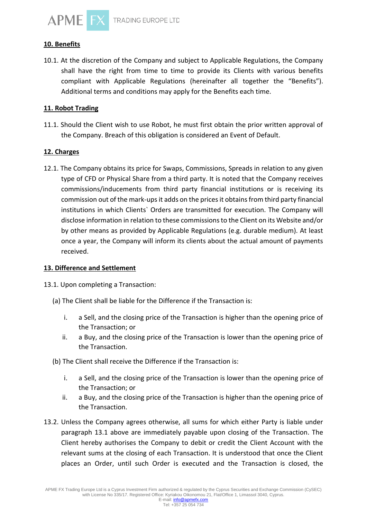

#### **10. Benefits**

10.1. At the discretion of the Company and subject to Applicable Regulations, the Company shall have the right from time to time to provide its Clients with various benefits compliant with Applicable Regulations (hereinafter all together the "Benefits"). Additional terms and conditions may apply for the Benefits each time.

#### **11. Robot Trading**

11.1. Should the Client wish to use Robot, he must first obtain the prior written approval of the Company. Breach of this obligation is considered an Event of Default.

#### **12. Charges**

12.1. The Company obtains its price for Swaps, Commissions, Spreads in relation to any given type of CFD or Physical Share from a third party. It is noted that the Company receives commissions/inducements from third party financial institutions or is receiving its commission out of the mark-ups it adds on the prices it obtains from third party financial institutions in which Clients` Orders are transmitted for execution. The Company will disclose information in relation to these commissions to the Client on its Website and/or by other means as provided by Applicable Regulations (e.g. durable medium). At least once a year, the Company will inform its clients about the actual amount of payments received.

#### **13. Difference and Settlement**

13.1. Upon completing a Transaction:

- (a) The Client shall be liable for the Difference if the Transaction is:
	- i. a Sell, and the closing price of the Transaction is higher than the opening price of the Transaction; or
	- ii. a Buy, and the closing price of the Transaction is lower than the opening price of the Transaction.
- (b) The Client shall receive the Difference if the Transaction is:
	- i. a Sell, and the closing price of the Transaction is lower than the opening price of the Transaction; or
	- ii. a Buy, and the closing price of the Transaction is higher than the opening price of the Transaction.
- 13.2. Unless the Company agrees otherwise, all sums for which either Party is liable under paragraph 13.1 above are immediately payable upon closing of the Transaction. The Client hereby authorises the Company to debit or credit the Client Account with the relevant sums at the closing of each Transaction. It is understood that once the Client places an Order, until such Order is executed and the Transaction is closed, the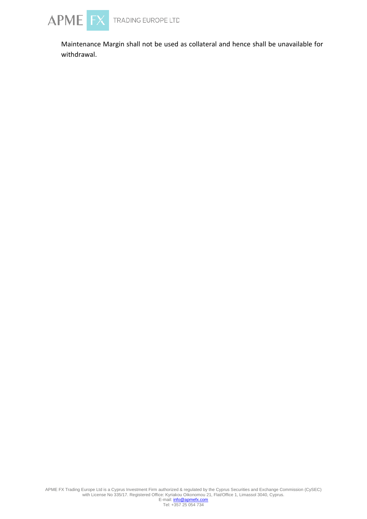

Maintenance Margin shall not be used as collateral and hence shall be unavailable for withdrawal.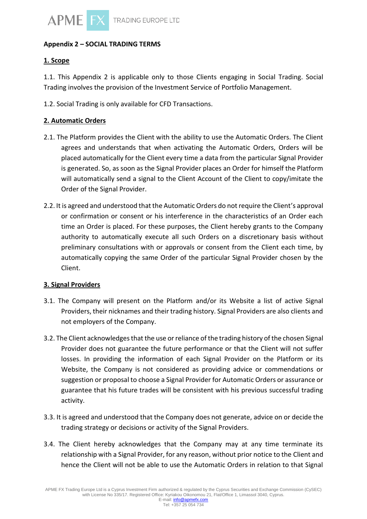

## **Appendix 2 – SOCIAL TRADING TERMS**

# **1. Scope**

1.1. This Appendix 2 is applicable only to those Clients engaging in Social Trading. Social Trading involves the provision of the Investment Service of Portfolio Management.

1.2. Social Trading is only available for CFD Transactions.

## **2. Automatic Orders**

- 2.1. The Platform provides the Client with the ability to use the Automatic Orders. The Client agrees and understands that when activating the Automatic Orders, Orders will be placed automatically for the Client every time a data from the particular Signal Provider is generated. So, as soon as the Signal Provider places an Order for himself the Platform will automatically send a signal to the Client Account of the Client to copy/imitate the Order of the Signal Provider.
- 2.2. It is agreed and understood that the Automatic Orders do not require the Client's approval or confirmation or consent or his interference in the characteristics of an Order each time an Order is placed. For these purposes, the Client hereby grants to the Company authority to automatically execute all such Orders on a discretionary basis without preliminary consultations with or approvals or consent from the Client each time, by automatically copying the same Order of the particular Signal Provider chosen by the Client.

## **3. Signal Providers**

- 3.1. The Company will present on the Platform and/or its Website a list of active Signal Providers, their nicknames and their trading history. Signal Providers are also clients and not employers of the Company.
- 3.2. The Client acknowledges that the use or reliance of the trading history of the chosen Signal Provider does not guarantee the future performance or that the Client will not suffer losses. In providing the information of each Signal Provider on the Platform or its Website, the Company is not considered as providing advice or commendations or suggestion or proposal to choose a Signal Provider for Automatic Orders or assurance or guarantee that his future trades will be consistent with his previous successful trading activity.
- 3.3. It is agreed and understood that the Company does not generate, advice on or decide the trading strategy or decisions or activity of the Signal Providers.
- 3.4. The Client hereby acknowledges that the Company may at any time terminate its relationship with a Signal Provider, for any reason, without prior notice to the Client and hence the Client will not be able to use the Automatic Orders in relation to that Signal